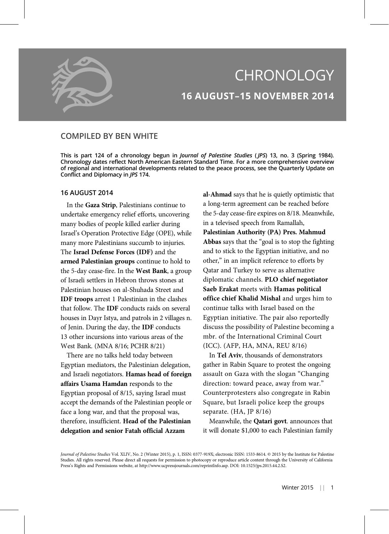

# **CHRONOLOGY** 16 AUGUST–15 NOVEMBER 2014

# COMPILED BY BEN WHITE

This is part 124 of a chronology begun in *Journal of Palestine Studies* (JPS) 13, no. 3 (Spring 1984). Chronology dates reflect North American Eastern Standard Time. For a more comprehensive overview of regional and international developments related to the peace process, see the Quarterly Update on Conflict and Diplomacy in JPS 174.

## 16 AUGUST 2014

In the Gaza Strip, Palestinians continue to undertake emergency relief efforts, uncovering many bodies of people killed earlier during Israel's Operation Protective Edge (OPE), while many more Palestinians succumb to injuries. The Israel Defense Forces (IDF) and the armed Palestinian groups continue to hold to the 5-day cease-fire. In the West Bank, a group of Israeli settlers in Hebron throws stones at Palestinian houses on al-Shuhada Street and IDF troops arrest 1 Palestinian in the clashes that follow. The IDF conducts raids on several houses in Dayr Istya, and patrols in 2 villages n. of Jenin. During the day, the IDF conducts 13 other incursions into various areas of the West Bank. (MNA 8/16; PCHR 8/21)

There are no talks held today between Egyptian mediators, the Palestinian delegation, and Israeli negotiators. Hamas head of foreign affairs Usama Hamdan responds to the Egyptian proposal of 8/15, saying Israel must accept the demands of the Palestinian people or face a long war, and that the proposal was, therefore, insufficient. Head of the Palestinian delegation and senior Fatah official Azzam

al-Ahmad says that he is quietly optimistic that a long-term agreement can be reached before the 5-day cease-fire expires on 8/18. Meanwhile, in a televised speech from Ramallah, Palestinian Authority (PA) Pres. Mahmud Abbas says that the "goal is to stop the fighting and to stick to the Egyptian initiative, and no other," in an implicit reference to efforts by Qatar and Turkey to serve as alternative diplomatic channels. PLO chief negotiator Saeb Erakat meets with Hamas political office chief Khalid Mishal and urges him to continue talks with Israel based on the Egyptian initiative. The pair also reportedly discuss the possibility of Palestine becoming a mbr. of the International Criminal Court (ICC). (AFP, HA, MNA, REU 8/16)

In Tel Aviv, thousands of demonstrators gather in Rabin Square to protest the ongoing assault on Gaza with the slogan "Changing direction: toward peace, away from war." Counterprotesters also congregate in Rabin Square, but Israeli police keep the groups separate. (HA, JP 8/16)

Meanwhile, the Qatari govt. announces that it will donate \$1,000 to each Palestinian family

Journal of Palestine Studies Vol. XLIV, No. 2 (Winter 2015), p. 1, ISSN: 0377-919X; electronic ISSN: 1533-8614. © 2015 by the Institute for Palestine Studies. All rights reserved. Please direct all requests for permission to photocopy or reproduce article content through the University of California Press's Rights and Permissions website, at http://www.ucpressjournals.com/reprintInfo.asp. DOI: 10.1525/jps.2015.44.2.S2.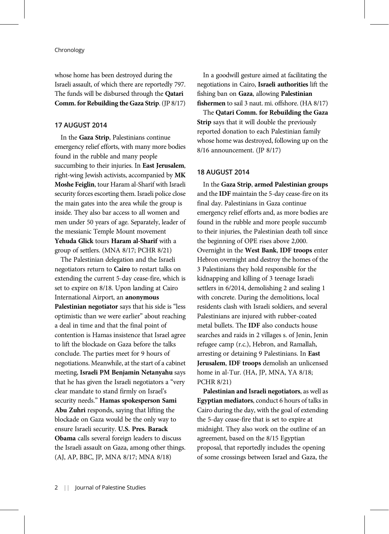whose home has been destroyed during the Israeli assault, of which there are reportedly 797. The funds will be disbursed through the Qatari Comm. for Rebuilding the Gaza Strip. (JP 8/17)

## 17 AUGUST 2014

In the Gaza Strip, Palestinians continue emergency relief efforts, with many more bodies found in the rubble and many people succumbing to their injuries. In East Jerusalem, right-wing Jewish activists, accompanied by MK Moshe Feiglin, tour Haram al-Sharif with Israeli security forces escorting them. Israeli police close the main gates into the area while the group is inside. They also bar access to all women and men under 50 years of age. Separately, leader of the messianic Temple Mount movement Yehuda Glick tours Haram al-Sharif with a group of settlers. (MNA 8/17; PCHR 8/21)

The Palestinian delegation and the Israeli negotiators return to Cairo to restart talks on extending the current 5-day cease-fire, which is set to expire on 8/18. Upon landing at Cairo International Airport, an anonymous Palestinian negotiator says that his side is "less optimistic than we were earlier" about reaching a deal in time and that the final point of contention is Hamas insistence that Israel agree to lift the blockade on Gaza before the talks conclude. The parties meet for 9 hours of negotiations. Meanwhile, at the start of a cabinet meeting, Israeli PM Benjamin Netanyahu says that he has given the Israeli negotiators a "very clear mandate to stand firmly on Israel's security needs." Hamas spokesperson Sami Abu Zuhri responds, saying that lifting the blockade on Gaza would be the only way to ensure Israeli security. U.S. Pres. Barack Obama calls several foreign leaders to discuss the Israeli assault on Gaza, among other things. (AJ, AP, BBC, JP, MNA 8/17; MNA 8/18)

In a goodwill gesture aimed at facilitating the negotiations in Cairo, Israeli authorities lift the fishing ban on Gaza, allowing Palestinian fishermen to sail 3 naut. mi. offshore. (HA 8/17)

The Qatari Comm. for Rebuilding the Gaza Strip says that it will double the previously reported donation to each Palestinian family whose home was destroyed, following up on the 8/16 announcement. (JP 8/17)

#### 18 AUGUST 2014

In the Gaza Strip, armed Palestinian groups and the IDF maintain the 5-day cease-fire on its final day. Palestinians in Gaza continue emergency relief efforts and, as more bodies are found in the rubble and more people succumb to their injuries, the Palestinian death toll since the beginning of OPE rises above 2,000. Overnight in the West Bank, IDF troops enter Hebron overnight and destroy the homes of the 3 Palestinians they hold responsible for the kidnapping and killing of 3 teenage Israeli settlers in 6/2014, demolishing 2 and sealing 1 with concrete. During the demolitions, local residents clash with Israeli soldiers, and several Palestinians are injured with rubber-coated metal bullets. The IDF also conducts house searches and raids in 2 villages s. of Jenin, Jenin refugee camp (r.c.), Hebron, and Ramallah, arresting or detaining 9 Palestinians. In East Jerusalem, IDF troops demolish an unlicensed home in al-Tur. (HA, JP, MNA, YA 8/18; PCHR 8/21)

Palestinian and Israeli negotiators, as well as Egyptian mediators, conduct 6 hours of talks in Cairo during the day, with the goal of extending the 5-day cease-fire that is set to expire at midnight. They also work on the outline of an agreement, based on the 8/15 Egyptian proposal, that reportedly includes the opening of some crossings between Israel and Gaza, the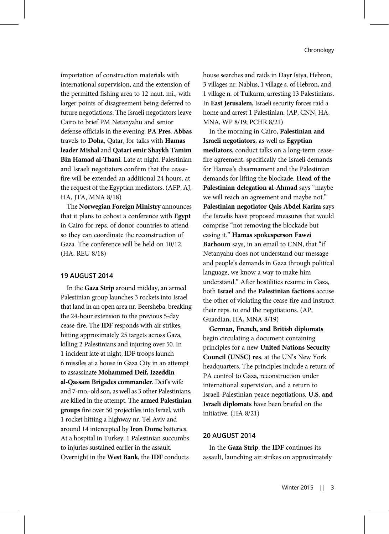importation of construction materials with international supervision, and the extension of the permitted fishing area to 12 naut. mi., with larger points of disagreement being deferred to future negotiations. The Israeli negotiators leave Cairo to brief PM Netanyahu and senior defense officials in the evening. PA Pres. Abbas travels to Doha, Qatar, for talks with Hamas leader Mishal and Qatari emir Shaykh Tamim Bin Hamad al-Thani. Late at night, Palestinian and Israeli negotiators confirm that the ceasefire will be extended an additional 24 hours, at the request of the Egyptian mediators. (AFP, AJ, HA, JTA, MNA 8/18)

The Norwegian Foreign Ministry announces that it plans to cohost a conference with Egypt in Cairo for reps. of donor countries to attend so they can coordinate the reconstruction of Gaza. The conference will be held on 10/12. (HA, REU 8/18)

#### 19 AUGUST 2014

In the Gaza Strip around midday, an armed Palestinian group launches 3 rockets into Israel that land in an open area nr. Beersheba, breaking the 24-hour extension to the previous 5-day cease-fire. The IDF responds with air strikes, hitting approximately 25 targets across Gaza, killing 2 Palestinians and injuring over 50. In 1 incident late at night, IDF troops launch 6 missiles at a house in Gaza City in an attempt to assassinate Mohammed Deif, Izzeddin al-Qassam Brigades commander. Deif's wife and 7-mo.-old son, as well as 3 other Palestinians, are killed in the attempt. The armed Palestinian groups fire over 50 projectiles into Israel, with 1 rocket hitting a highway nr. Tel Aviv and around 14 intercepted by Iron Dome batteries. At a hospital in Turkey, 1 Palestinian succumbs to injuries sustained earlier in the assault. Overnight in the West Bank, the IDF conducts

house searches and raids in Dayr Istya, Hebron, 3 villages nr. Nablus, 1 village s. of Hebron, and 1 village n. of Tulkarm, arresting 13 Palestinians. In East Jerusalem, Israeli security forces raid a home and arrest 1 Palestinian. (AP, CNN, HA, MNA, WP 8/19; PCHR 8/21)

In the morning in Cairo, Palestinian and Israeli negotiators, as well as Egyptian mediators, conduct talks on a long-term ceasefire agreement, specifically the Israeli demands for Hamas's disarmament and the Palestinian demands for lifting the blockade. Head of the Palestinian delegation al-Ahmad says "maybe we will reach an agreement and maybe not." Palestinian negotiator Qais Abdel Karim says the Israelis have proposed measures that would comprise "not removing the blockade but easing it." Hamas spokesperson Fawzi Barhoum says, in an email to CNN, that "if Netanyahu does not understand our message and people's demands in Gaza through political language, we know a way to make him understand." After hostilities resume in Gaza, both Israel and the Palestinian factions accuse the other of violating the cease-fire and instruct their reps. to end the negotiations. (AP, Guardian, HA, MNA 8/19)

German, French, and British diplomats begin circulating a document containing principles for a new United Nations Security Council (UNSC) res. at the UN's New York headquarters. The principles include a return of PA control to Gaza, reconstruction under international supervision, and a return to Israeli-Palestinian peace negotiations. U.S. and Israeli diplomats have been briefed on the initiative. (HA 8/21)

#### 20 AUGUST 2014

In the Gaza Strip, the IDF continues its assault, launching air strikes on approximately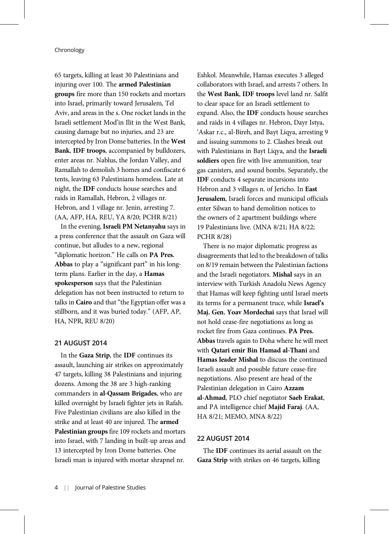65 targets, killing at least 30 Palestinians and injuring over 100. The armed Palestinian groups fire more than 150 rockets and mortars into Israel, primarily toward Jerusalem, Tel Aviv, and areas in the s. One rocket lands in the Israeli settlement Mod'in Ilit in the West Bank, causing damage but no injuries, and 23 are intercepted by Iron Dome batteries. In the West Bank, IDF troops, accompanied by bulldozers, enter areas nr. Nablus, the Jordan Valley, and Ramallah to demolish 3 homes and confiscate 6 tents, leaving 63 Palestinians homeless. Late at night, the IDF conducts house searches and raids in Ramallah, Hebron, 2 villages nr. Hebron, and 1 village nr. Jenin, arresting 7. (AA, AFP, HA, REU, YA 8/20; PCHR 8/21)

In the evening, Israeli PM Netanyahu says in a press conference that the assault on Gaza will continue, but alludes to a new, regional "diplomatic horizon." He calls on PA Pres. Abbas to play a "significant part" in his longterm plans. Earlier in the day, a Hamas spokesperson says that the Palestinian delegation has not been instructed to return to talks in Cairo and that "the Egyptian offer was a stillborn, and it was buried today." (AFP, AP, HA, NPR, REU 8/20)

## 21 AUGUST 2014

In the Gaza Strip, the IDF continues its assault, launching air strikes on approximately 47 targets, killing 38 Palestinians and injuring dozens. Among the 38 are 3 high-ranking commanders in al-Qassam Brigades, who are killed overnight by Israeli fighter jets in Rafah. Five Palestinian civilians are also killed in the strike and at least 40 are injured. The armed Palestinian groups fire 109 rockets and mortars into Israel, with 7 landing in built-up areas and 13 intercepted by Iron Dome batteries. One Israeli man is injured with mortar shrapnel nr.

Eshkol. Meanwhile, Hamas executes 3 alleged collaborators with Israel, and arrests 7 others. In the West Bank, IDF troops level land nr. Salfit to clear space for an Israeli settlement to expand. Also, the IDF conducts house searches and raids in 4 villages nr. Hebron, Dayr Istya, 'Askar r.c., al-Bireh, and Bayt Liqya, arresting 9 and issuing summons to 2. Clashes break out with Palestinians in Bayt Liqya, and the Israeli soldiers open fire with live ammunition, tear gas canisters, and sound bombs. Separately, the IDF conducts 4 separate incursions into Hebron and 3 villages n. of Jericho. In East Jerusalem, Israeli forces and municipal officials enter Silwan to hand demolition notices to the owners of 2 apartment buildings where 19 Palestinians live. (MNA 8/21; HA 8/22; PCHR 8/28)

There is no major diplomatic progress as disagreements that led to the breakdown of talks on 8/19 remain between the Palestinian factions and the Israeli negotiators. Mishal says in an interview with Turkish Anadolu News Agency that Hamas will keep fighting until Israel meets its terms for a permanent truce, while Israel's Maj. Gen. Yoav Mordechai says that Israel will not hold cease-fire negotiations as long as rocket fire from Gaza continues. PA Pres. Abbas travels again to Doha where he will meet with Qatari emir Bin Hamad al-Thani and Hamas leader Mishal to discuss the continued Israeli assault and possible future cease-fire negotiations. Also present are head of the Palestinian delegation in Cairo Azzam al-Ahmad, PLO chief negotiator Saeb Erakat, and PA intelligence chief Majid Faraj. (AA, HA 8/21; MEMO, MNA 8/22)

#### 22 AUGUST 2014

The IDF continues its aerial assault on the Gaza Strip with strikes on 46 targets, killing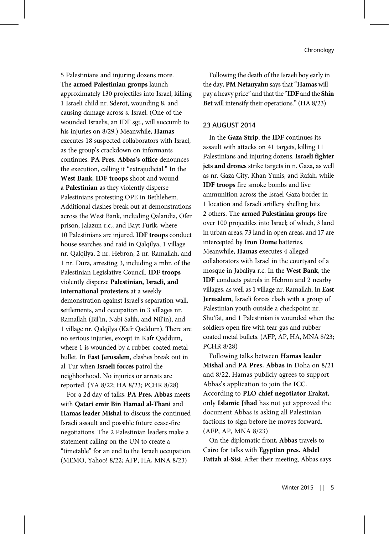5 Palestinians and injuring dozens more. The armed Palestinian groups launch approximately 130 projectiles into Israel, killing 1 Israeli child nr. Sderot, wounding 8, and causing damage across s. Israel. (One of the wounded Israelis, an IDF sgt., will succumb to his injuries on 8/29.) Meanwhile, Hamas executes 18 suspected collaborators with Israel, as the group's crackdown on informants continues. PA Pres. Abbas's office denounces the execution, calling it "extrajudicial." In the West Bank, IDF troops shoot and wound a Palestinian as they violently disperse Palestinians protesting OPE in Bethlehem. Additional clashes break out at demonstrations across the West Bank, including Qalandia, Ofer prison, Jalazun r.c., and Bayt Furik, where 10 Palestinians are injured. IDF troops conduct house searches and raid in Qalqilya, 1 village nr. Qalqilya, 2 nr. Hebron, 2 nr. Ramallah, and 1 nr. Dura, arresting 3, including a mbr. of the Palestinian Legislative Council. IDF troops violently disperse Palestinian, Israeli, and international protesters at a weekly demonstration against Israel's separation wall, settlements, and occupation in 3 villages nr. Ramallah (Bil'in, Nabi Salih, and Nil'in), and 1 village nr. Qalqilya (Kafr Qaddum). There are no serious injuries, except in Kafr Qaddum, where 1 is wounded by a rubber-coated metal bullet. In East Jerusalem, clashes break out in al-Tur when Israeli forces patrol the neighborhood. No injuries or arrests are reported. (YA 8/22; HA 8/23; PCHR 8/28)

For a 2d day of talks, PA Pres. Abbas meets with Qatari emir Bin Hamad al-Thani and Hamas leader Mishal to discuss the continued Israeli assault and possible future cease-fire negotiations. The 2 Palestinian leaders make a statement calling on the UN to create a "timetable" for an end to the Israeli occupation. (MEMO, Yahoo! 8/22; AFP, HA, MNA 8/23)

Following the death of the Israeli boy early in the day, PM Netanyahu says that "Hamas will pay a heavy price" and that the "IDF and the Shin Bet will intensify their operations." (HA 8/23)

## 23 AUGUST 2014

In the Gaza Strip, the IDF continues its assault with attacks on 41 targets, killing 11 Palestinians and injuring dozens. Israeli fighter jets and drones strike targets in n. Gaza, as well as nr. Gaza City, Khan Yunis, and Rafah, while IDF troops fire smoke bombs and live ammunition across the Israel-Gaza border in 1 location and Israeli artillery shelling hits 2 others. The armed Palestinian groups fire over 100 projectiles into Israel; of which, 3 land in urban areas, 73 land in open areas, and 17 are intercepted by Iron Dome batteries. Meanwhile, Hamas executes 4 alleged collaborators with Israel in the courtyard of a mosque in Jabaliya r.c. In the West Bank, the IDF conducts patrols in Hebron and 2 nearby villages, as well as 1 village nr. Ramallah. In East Jerusalem, Israeli forces clash with a group of Palestinian youth outside a checkpoint nr. Shu'fat, and 1 Palestinian is wounded when the soldiers open fire with tear gas and rubbercoated metal bullets. (AFP, AP, HA, MNA 8/23; PCHR 8/28)

Following talks between Hamas leader Mishal and PA Pres. Abbas in Doha on 8/21 and 8/22, Hamas publicly agrees to support Abbas's application to join the ICC. According to PLO chief negotiator Erakat, only Islamic Jihad has not yet approved the document Abbas is asking all Palestinian factions to sign before he moves forward. (AFP, AP, MNA 8/23)

On the diplomatic front, Abbas travels to Cairo for talks with Egyptian pres. Abdel Fattah al-Sisi. After their meeting, Abbas says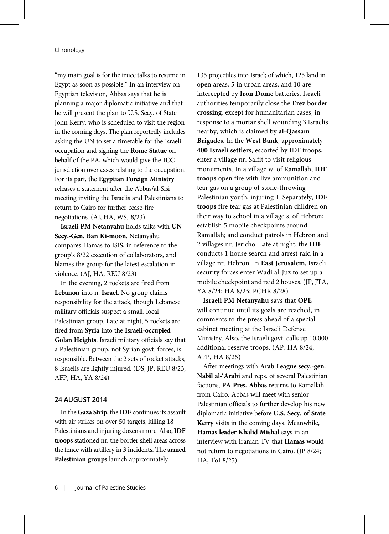"my main goal is for the truce talks to resume in Egypt as soon as possible." In an interview on Egyptian television, Abbas says that he is planning a major diplomatic initiative and that he will present the plan to U.S. Secy. of State John Kerry, who is scheduled to visit the region in the coming days. The plan reportedly includes asking the UN to set a timetable for the Israeli occupation and signing the Rome Statue on behalf of the PA, which would give the ICC jurisdiction over cases relating to the occupation. For its part, the Egyptian Foreign Ministry releases a statement after the Abbas/al-Sisi meeting inviting the Israelis and Palestinians to return to Cairo for further cease-fire negotiations. (AJ, HA, WSJ 8/23)

Israeli PM Netanyahu holds talks with UN Secy.-Gen. Ban Ki-moon. Netanyahu compares Hamas to ISIS, in reference to the group's 8/22 execution of collaborators, and blames the group for the latest escalation in violence. (AJ, HA, REU 8/23)

In the evening, 2 rockets are fired from Lebanon into n. Israel. No group claims responsibility for the attack, though Lebanese military officials suspect a small, local Palestinian group. Late at night, 5 rockets are fired from Syria into the Israeli-occupied Golan Heights. Israeli military officials say that a Palestinian group, not Syrian govt. forces, is responsible. Between the 2 sets of rocket attacks, 8 Israelis are lightly injured. (DS, JP, REU 8/23; AFP, HA, YA 8/24)

## 24 AUGUST 2014

In the Gaza Strip, the IDF continues its assault with air strikes on over 50 targets, killing 18 Palestinians and injuring dozens more. Also, IDF troops stationed nr. the border shell areas across the fence with artillery in 3 incidents. The armed Palestinian groups launch approximately

135 projectiles into Israel; of which, 125 land in open areas, 5 in urban areas, and 10 are intercepted by Iron Dome batteries. Israeli authorities temporarily close the Erez border crossing, except for humanitarian cases, in response to a mortar shell wounding 3 Israelis nearby, which is claimed by al-Qassam Brigades. In the West Bank, approximately 400 Israeli settlers, escorted by IDF troops, enter a village nr. Salfit to visit religious monuments. In a village w. of Ramallah, IDF troops open fire with live ammunition and tear gas on a group of stone-throwing Palestinian youth, injuring 1. Separately, IDF troops fire tear gas at Palestinian children on their way to school in a village s. of Hebron; establish 5 mobile checkpoints around Ramallah; and conduct patrols in Hebron and 2 villages nr. Jericho. Late at night, the IDF conducts 1 house search and arrest raid in a village nr. Hebron. In East Jerusalem, Israeli security forces enter Wadi al-Juz to set up a mobile checkpoint and raid 2 houses. (JP, JTA,

YA 8/24; HA 8/25; PCHR 8/28)

Israeli PM Netanyahu says that OPE will continue until its goals are reached, in comments to the press ahead of a special cabinet meeting at the Israeli Defense Ministry. Also, the Israeli govt. calls up 10,000 additional reserve troops. (AP, HA 8/24; AFP, HA 8/25)

After meetings with Arab League secy.-gen. Nabil al-'Arabi and reps. of several Palestinian factions, PA Pres. Abbas returns to Ramallah from Cairo. Abbas will meet with senior Palestinian officials to further develop his new diplomatic initiative before U.S. Secy. of State Kerry visits in the coming days. Meanwhile, Hamas leader Khalid Mishal says in an interview with Iranian TV that Hamas would not return to negotiations in Cairo. (JP 8/24; HA, ToI 8/25)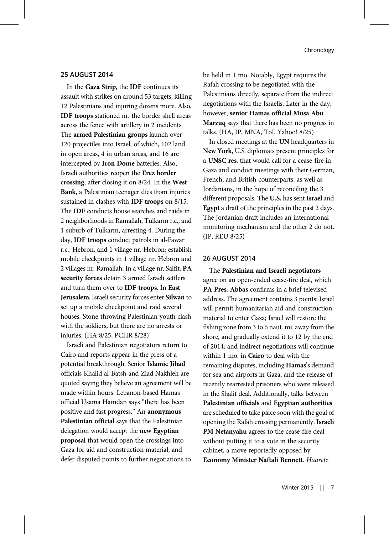## 25 AUGUST 2014

In the Gaza Strip, the IDF continues its assault with strikes on around 53 targets, killing 12 Palestinians and injuring dozens more. Also, IDF troops stationed nr. the border shell areas across the fence with artillery in 2 incidents. The armed Palestinian groups launch over 120 projectiles into Israel; of which, 102 land in open areas, 4 in urban areas, and 16 are intercepted by Iron Dome batteries. Also, Israeli authorities reopen the Erez border crossing, after closing it on 8/24. In the West Bank, a Palestinian teenager dies from injuries sustained in clashes with IDF troops on 8/15. The IDF conducts house searches and raids in 2 neighborhoods in Ramallah, Tulkarm r.c., and 1 suburb of Tulkarm, arresting 4. During the day, IDF troops conduct patrols in al-Fawar r.c., Hebron, and 1 village nr. Hebron; establish mobile checkpoints in 1 village nr. Hebron and 2 villages nr. Ramallah. In a village nr. Salfit, PA security forces detain 3 armed Israeli settlers and turn them over to IDF troops. In East Jerusalem, Israeli security forces enter Silwan to set up a mobile checkpoint and raid several houses. Stone-throwing Palestinian youth clash with the soldiers, but there are no arrests or injuries. (HA 8/25; PCHR 8/28)

Israeli and Palestinian negotiators return to Cairo and reports appear in the press of a potential breakthrough. Senior Islamic Jihad officials Khalid al-Batsh and Ziad Nakhleh are quoted saying they believe an agreement will be made within hours. Lebanon-based Hamas official Usama Hamdan says "there has been positive and fast progress." An anonymous Palestinian official says that the Palestinian delegation would accept the new Egyptian proposal that would open the crossings into Gaza for aid and construction material, and defer disputed points to further negotiations to

be held in 1 mo. Notably, Egypt requires the Rafah crossing to be negotiated with the Palestinians directly, separate from the indirect negotiations with the Israelis. Later in the day, however, senior Hamas official Musa Abu Marzuq says that there has been no progress in talks. (HA, JP, MNA, ToI, Yahoo! 8/25)

In closed meetings at the UN headquarters in New York, U.S. diplomats present principles for a UNSC res. that would call for a cease-fire in Gaza and conduct meetings with their German, French, and British counterparts, as well as Jordanians, in the hope of reconciling the 3 different proposals. The U.S. has sent Israel and Egypt a draft of the principles in the past 2 days. The Jordanian draft includes an international monitoring mechanism and the other 2 do not. (JP, REU 8/25)

## 26 AUGUST 2014

The Palestinian and Israeli negotiators agree on an open-ended cease-fire deal, which PA Pres. Abbas confirms in a brief televised address. The agreement contains 3 points: Israel will permit humanitarian aid and construction material to enter Gaza; Israel will restore the fishing zone from 3 to 6 naut. mi. away from the shore, and gradually extend it to 12 by the end of 2014; and indirect negotiations will continue within 1 mo. in Cairo to deal with the remaining disputes, including Hamas's demand for sea and airports in Gaza, and the release of recently rearrested prisoners who were released in the Shalit deal. Additionally, talks between Palestinian officials and Egyptian authorities are scheduled to take place soon with the goal of opening the Rafah crossing permanently. Israeli PM Netanyahu agrees to the cease-fire deal without putting it to a vote in the security cabinet, a move reportedly opposed by Economy Minister Naftali Bennett. Haaretz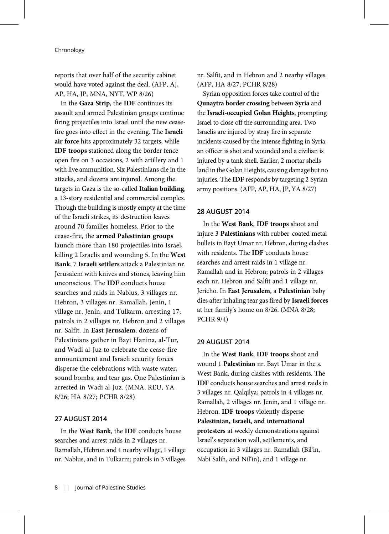reports that over half of the security cabinet would have voted against the deal. (AFP, AJ, AP, HA, JP, MNA, NYT, WP 8/26)

In the Gaza Strip, the IDF continues its assault and armed Palestinian groups continue firing projectiles into Israel until the new ceasefire goes into effect in the evening. The Israeli air force hits approximately 32 targets, while IDF troops stationed along the border fence open fire on 3 occasions, 2 with artillery and 1 with live ammunition. Six Palestinians die in the attacks, and dozens are injured. Among the targets in Gaza is the so-called Italian building, a 13-story residential and commercial complex. Though the building is mostly empty at the time of the Israeli strikes, its destruction leaves around 70 families homeless. Prior to the cease-fire, the armed Palestinian groups launch more than 180 projectiles into Israel, killing 2 Israelis and wounding 5. In the West Bank, 7 Israeli settlers attack a Palestinian nr. Jerusalem with knives and stones, leaving him unconscious. The IDF conducts house searches and raids in Nablus, 3 villages nr. Hebron, 3 villages nr. Ramallah, Jenin, 1 village nr. Jenin, and Tulkarm, arresting 17; patrols in 2 villages nr. Hebron and 2 villages nr. Salfit. In East Jerusalem, dozens of Palestinians gather in Bayt Hanina, al-Tur, and Wadi al-Juz to celebrate the cease-fire announcement and Israeli security forces disperse the celebrations with waste water, sound bombs, and tear gas. One Palestinian is arrested in Wadi al-Juz. (MNA, REU, YA 8/26; HA 8/27; PCHR 8/28)

## 27 AUGUST 2014

In the West Bank, the IDF conducts house searches and arrest raids in 2 villages nr. Ramallah, Hebron and 1 nearby village, 1 village nr. Nablus, and in Tulkarm; patrols in 3 villages nr. Salfit, and in Hebron and 2 nearby villages. (AFP, HA 8/27; PCHR 8/28)

Syrian opposition forces take control of the Qunaytra border crossing between Syria and the Israeli-occupied Golan Heights, prompting Israel to close off the surrounding area. Two Israelis are injured by stray fire in separate incidents caused by the intense fighting in Syria: an officer is shot and wounded and a civilian is injured by a tank shell. Earlier, 2 mortar shells land in the Golan Heights, causing damage but no injuries. The IDF responds by targeting 2 Syrian army positions. (AFP, AP, HA, JP, YA 8/27)

#### 28 AUGUST 2014

In the West Bank, IDF troops shoot and injure 3 Palestinians with rubber-coated metal bullets in Bayt Umar nr. Hebron, during clashes with residents. The IDF conducts house searches and arrest raids in 1 village nr. Ramallah and in Hebron; patrols in 2 villages each nr. Hebron and Salfit and 1 village nr. Jericho. In East Jerusalem, a Palestinian baby dies after inhaling tear gas fired by Israeli forces at her family's home on 8/26. (MNA 8/28; PCHR 9/4)

#### 29 AUGUST 2014

In the West Bank, IDF troops shoot and wound 1 Palestinian nr. Bayt Umar in the s. West Bank, during clashes with residents. The IDF conducts house searches and arrest raids in 3 villages nr. Qalqilya; patrols in 4 villages nr. Ramallah, 2 villages nr. Jenin, and 1 village nr. Hebron. IDF troops violently disperse Palestinian, Israeli, and international protesters at weekly demonstrations against Israel's separation wall, settlements, and occupation in 3 villages nr. Ramallah (Bil'in, Nabi Salih, and Nil'in), and 1 village nr.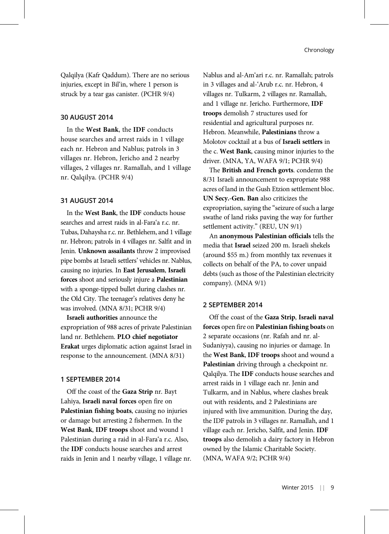Qalqilya (Kafr Qaddum). There are no serious injuries, except in Bil'in, where 1 person is struck by a tear gas canister. (PCHR 9/4)

#### 30 AUGUST 2014

In the West Bank, the IDF conducts house searches and arrest raids in 1 village each nr. Hebron and Nablus; patrols in 3 villages nr. Hebron, Jericho and 2 nearby villages, 2 villages nr. Ramallah, and 1 village nr. Qalqilya. (PCHR 9/4)

## 31 AUGUST 2014

In the West Bank, the IDF conducts house searches and arrest raids in al-Fara'a r.c. nr. Tubas, Dahaysha r.c. nr. Bethlehem, and 1 village nr. Hebron; patrols in 4 villages nr. Salfit and in Jenin. Unknown assailants throw 2 improvised pipe bombs at Israeli settlers' vehicles nr. Nablus, causing no injuries. In East Jerusalem, Israeli forces shoot and seriously injure a Palestinian with a sponge-tipped bullet during clashes nr. the Old City. The teenager's relatives deny he was involved. (MNA 8/31; PCHR 9/4)

Israeli authorities announce the expropriation of 988 acres of private Palestinian land nr. Bethlehem. PLO chief negotiator Erakat urges diplomatic action against Israel in response to the announcement. (MNA 8/31)

#### 1 SEPTEMBER 2014

Off the coast of the Gaza Strip nr. Bayt Lahiya, Israeli naval forces open fire on Palestinian fishing boats, causing no injuries or damage but arresting 2 fishermen. In the West Bank, IDF troops shoot and wound 1 Palestinian during a raid in al-Fara'a r.c. Also, the IDF conducts house searches and arrest raids in Jenin and 1 nearby village, 1 village nr. Nablus and al-Am'ari r.c. nr. Ramallah; patrols in 3 villages and al-'Arub r.c. nr. Hebron, 4 villages nr. Tulkarm, 2 villages nr. Ramallah, and 1 village nr. Jericho. Furthermore, IDF troops demolish 7 structures used for residential and agricultural purposes nr. Hebron. Meanwhile, Palestinians throw a Molotov cocktail at a bus of Israeli settlers in the c. West Bank, causing minor injuries to the driver. (MNA, YA, WAFA 9/1; PCHR 9/4)

The British and French govts. condemn the 8/31 Israeli announcement to expropriate 988 acres of land in the Gush Etzion settlement bloc. UN Secy.-Gen. Ban also criticizes the expropriation, saying the "seizure of such a large swathe of land risks paving the way for further settlement activity." (REU, UN 9/1)

An anonymous Palestinian officials tells the media that Israel seized 200 m. Israeli shekels (around \$55 m.) from monthly tax revenues it collects on behalf of the PA, to cover unpaid debts (such as those of the Palestinian electricity company). (MNA 9/1)

## 2 SEPTEMBER 2014

Off the coast of the Gaza Strip, Israeli naval forces open fire on Palestinian fishing boats on 2 separate occasions (nr. Rafah and nr. al-Sudaniyya), causing no injuries or damage. In the West Bank, IDF troops shoot and wound a Palestinian driving through a checkpoint nr. Qalqilya. The IDF conducts house searches and arrest raids in 1 village each nr. Jenin and Tulkarm, and in Nablus, where clashes break out with residents, and 2 Palestinians are injured with live ammunition. During the day, the IDF patrols in 3 villages nr. Ramallah, and 1 village each nr. Jericho, Salfit, and Jenin. IDF troops also demolish a dairy factory in Hebron owned by the Islamic Charitable Society. (MNA, WAFA 9/2; PCHR 9/4)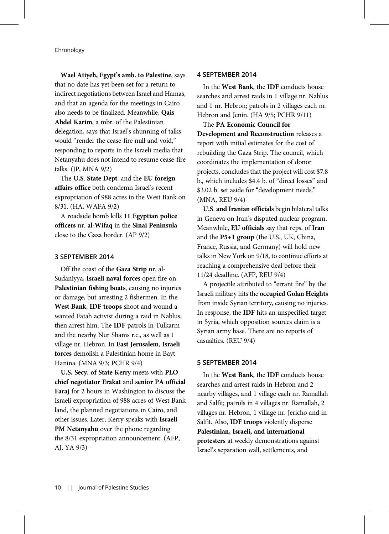Wael Atiyeh, Egypt's amb. to Palestine, says that no date has yet been set for a return to indirect negotiations between Israel and Hamas, and that an agenda for the meetings in Cairo also needs to be finalized. Meanwhile, Qais Abdel Karim, a mbr. of the Palestinian delegation, says that Israel's shunning of talks would "render the cease-fire null and void," responding to reports in the Israeli media that Netanyahu does not intend to resume cease-fire talks. (JP, MNA 9/2)

The U.S. State Dept. and the EU foreign affairs office both condemn Israel's recent expropriation of 988 acres in the West Bank on 8/31. (HA, WAFA 9/2)

A roadside bomb kills 11 Egyptian police officers nr. al-Wifaq in the Sinai Peninsula close to the Gaza border. (AP 9/2)

## 3 SEPTEMBER 2014

Off the coast of the Gaza Strip nr. al-Sudaniyya, Israeli naval forces open fire on Palestinian fishing boats, causing no injuries or damage, but arresting 2 fishermen. In the West Bank, IDF troops shoot and wound a wanted Fatah activist during a raid in Nablus, then arrest him. The IDF patrols in Tulkarm and the nearby Nur Shams r.c., as well as 1 village nr. Hebron. In East Jerusalem, Israeli forces demolish a Palestinian home in Bayt Hanina. (MNA 9/3; PCHR 9/4)

U.S. Secy. of State Kerry meets with PLO chief negotiator Erakat and senior PA official Faraj for 2 hours in Washington to discuss the Israeli expropriation of 988 acres of West Bank land, the planned negotiations in Cairo, and other issues. Later, Kerry speaks with Israeli PM Netanyahu over the phone regarding the 8/31 expropriation announcement. (AFP, AJ, YA 9/3)

## 4 SEPTEMBER 2014

In the West Bank, the IDF conducts house searches and arrest raids in 1 village nr. Nablus and 1 nr. Hebron; patrols in 2 villages each nr. Hebron and Jenin. (HA 9/5; PCHR 9/11)

The PA Economic Council for Development and Reconstruction releases a report with initial estimates for the cost of rebuilding the Gaza Strip. The council, which coordinates the implementation of donor projects, concludes that the project will cost \$7.8 b., which includes \$4.4 b. of "direct losses" and \$3.02 b. set aside for "development needs." (MNA, REU 9/4)

U.S. and Iranian officials begin bilateral talks in Geneva on Iran's disputed nuclear program. Meanwhile, EU officials say that reps. of Iran and the P5+1 group (the U.S., UK, China, France, Russia, and Germany) will hold new talks in New York on 9/18, to continue efforts at reaching a comprehensive deal before their 11/24 deadline. (AFP, REU 9/4)

A projectile attributed to "errant fire" by the Israeli military hits the occupied Golan Heights from inside Syrian territory, causing no injuries. In response, the IDF hits an unspecified target in Syria, which opposition sources claim is a Syrian army base. There are no reports of casualties. (REU 9/4)

#### 5 SEPTEMBER 2014

In the West Bank, the IDF conducts house searches and arrest raids in Hebron and 2 nearby villages, and 1 village each nr. Ramallah and Salfit; patrols in 4 villages nr. Ramallah, 2 villages nr. Hebron, 1 village nr. Jericho and in Salfit. Also, IDF troops violently disperse Palestinian, Israeli, and international protesters at weekly demonstrations against Israel's separation wall, settlements, and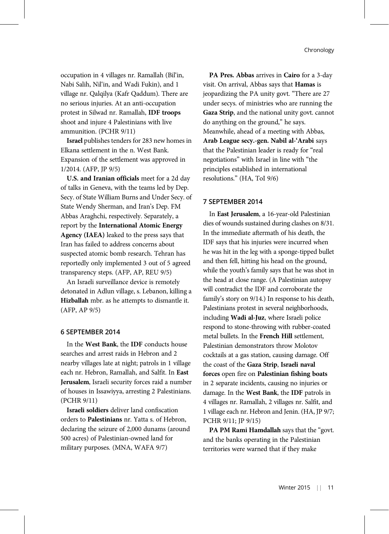occupation in 4 villages nr. Ramallah (Bil'in, Nabi Salih, Nil'in, and Wadi Fukin), and 1 village nr. Qalqilya (Kafr Qaddum). There are no serious injuries. At an anti-occupation protest in Silwad nr. Ramallah, IDF troops shoot and injure 4 Palestinians with live ammunition. (PCHR 9/11)

Israel publishes tenders for 283 new homes in Elkana settlement in the n. West Bank. Expansion of the settlement was approved in 1/2014. (AFP, JP 9/5)

U.S. and Iranian officials meet for a 2d day of talks in Geneva, with the teams led by Dep. Secy. of State William Burns and Under Secy. of State Wendy Sherman, and Iran's Dep. FM Abbas Araghchi, respectively. Separately, a report by the International Atomic Energy Agency (IAEA) leaked to the press says that Iran has failed to address concerns about suspected atomic bomb research. Tehran has reportedly only implemented 3 out of 5 agreed transparency steps. (AFP, AP, REU 9/5)

An Israeli surveillance device is remotely detonated in Adlun village, s. Lebanon, killing a Hizballah mbr. as he attempts to dismantle it. (AFP, AP 9/5)

#### 6 SEPTEMBER 2014

In the West Bank, the IDF conducts house searches and arrest raids in Hebron and 2 nearby villages late at night; patrols in 1 village each nr. Hebron, Ramallah, and Salfit. In East Jerusalem, Israeli security forces raid a number of houses in Issawiyya, arresting 2 Palestinians. (PCHR 9/11)

Israeli soldiers deliver land confiscation orders to Palestinians nr. Yatta s. of Hebron, declaring the seizure of 2,000 dunams (around 500 acres) of Palestinian-owned land for military purposes. (MNA, WAFA 9/7)

PA Pres. Abbas arrives in Cairo for a 3-day visit. On arrival, Abbas says that Hamas is jeopardizing the PA unity govt. "There are 27 under secys. of ministries who are running the Gaza Strip, and the national unity govt. cannot do anything on the ground," he says. Meanwhile, ahead of a meeting with Abbas, Arab League secy.-gen. Nabil al-'Arabi says that the Palestinian leader is ready for "real negotiations" with Israel in line with "the principles established in international resolutions." (HA, ToI 9/6)

## 7 SEPTEMBER 2014

In East Jerusalem, a 16-year-old Palestinian dies of wounds sustained during clashes on 8/31. In the immediate aftermath of his death, the IDF says that his injuries were incurred when he was hit in the leg with a sponge-tipped bullet and then fell, hitting his head on the ground, while the youth's family says that he was shot in the head at close range. (A Palestinian autopsy will contradict the IDF and corroborate the family's story on 9/14.) In response to his death, Palestinians protest in several neighborhoods, including Wadi al-Juz, where Israeli police respond to stone-throwing with rubber-coated metal bullets. In the French Hill settlement, Palestinian demonstrators throw Molotov cocktails at a gas station, causing damage. Off the coast of the Gaza Strip, Israeli naval forces open fire on Palestinian fishing boats in 2 separate incidents, causing no injuries or damage. In the West Bank, the IDF patrols in 4 villages nr. Ramallah, 2 villages nr. Salfit, and 1 village each nr. Hebron and Jenin. (HA, JP 9/7; PCHR 9/11; JP 9/15)

PA PM Rami Hamdallah says that the "govt. and the banks operating in the Palestinian territories were warned that if they make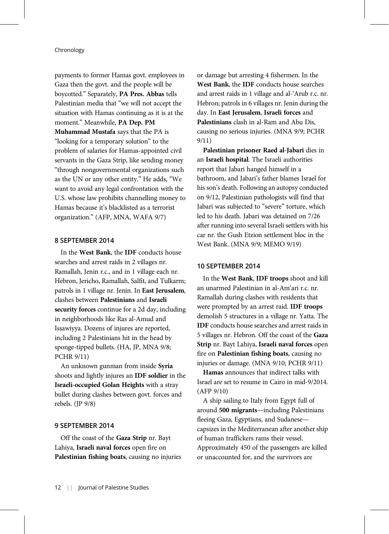payments to former Hamas govt. employees in Gaza then the govt. and the people will be boycotted." Separately, PA Pres. Abbas tells Palestinian media that "we will not accept the situation with Hamas continuing as it is at the moment." Meanwhile, PA Dep. PM Muhammad Mustafa says that the PA is "looking for a temporary solution" to the problem of salaries for Hamas-appointed civil servants in the Gaza Strip, like sending money "through nongovernmental organizations such as the UN or any other entity." He adds, "We want to avoid any legal confrontation with the U.S. whose law prohibits channelling money to Hamas because it's blacklisted as a terrorist organization." (AFP, MNA, WAFA 9/7)

## 8 SEPTEMBER 2014

In the West Bank, the IDF conducts house searches and arrest raids in 2 villages nr. Ramallah, Jenin r.c., and in 1 village each nr. Hebron, Jericho, Ramallah, Salfit, and Tulkarm; patrols in 1 village nr. Jenin. In East Jerusalem, clashes between Palestinians and Israeli security forces continue for a 2d day, including in neighborhoods like Ras al-Amud and Issawiyya. Dozens of injures are reported, including 2 Palestinians hit in the head by sponge-tipped bullets. (HA, JP, MNA 9/8; PCHR 9/11)

An unknown gunman from inside Syria shoots and lightly injures an IDF soldier in the Israeli-occupied Golan Heights with a stray bullet during clashes between govt. forces and rebels. (JP 9/8)

## 9 SEPTEMBER 2014

Off the coast of the Gaza Strip nr. Bayt Lahiya, Israeli naval forces open fire on Palestinian fishing boats, causing no injuries or damage but arresting 4 fishermen. In the West Bank, the IDF conducts house searches and arrest raids in 1 village and al-'Arub r.c. nr. Hebron; patrols in 6 villages nr. Jenin during the day. In East Jerusalem, Israeli forces and Palestinians clash in al-Ram and Abu Dis, causing no serious injuries. (MNA 9/9; PCHR 9/11)

Palestinian prisoner Raed al-Jabari dies in an Israeli hospital. The Israeli authorities report that Jabari hanged himself in a bathroom, and Jabari's father blames Israel for his son's death. Following an autopsy conducted on 9/12, Palestinian pathologists will find that Jabari was subjected to "severe" torture, which led to his death. Jabari was detained on 7/26 after running into several Israeli settlers with his car nr. the Gush Etzion settlement bloc in the West Bank. (MNA 9/9; MEMO 9/19)

## 10 SEPTEMBER 2014

In the West Bank, IDF troops shoot and kill an unarmed Palestinian in al-Am'ari r.c. nr. Ramallah during clashes with residents that were prompted by an arrest raid. IDF troops demolish 5 structures in a village nr. Yatta. The IDF conducts house searches and arrest raids in 5 villages nr. Hebron. Off the coast of the Gaza Strip nr. Bayt Lahiya, Israeli naval forces open fire on Palestinian fishing boats, causing no injuries or damage. (MNA 9/10; PCHR 9/11)

Hamas announces that indirect talks with Israel are set to resume in Cairo in mid-9/2014. (AFP 9/10)

A ship sailing to Italy from Egypt full of around 500 migrants—including Palestinians fleeing Gaza, Egyptians, and Sudanese capsizes in the Mediterranean after another ship of human traffickers rams their vessel. Approximately 450 of the passengers are killed or unaccounted for, and the survivors are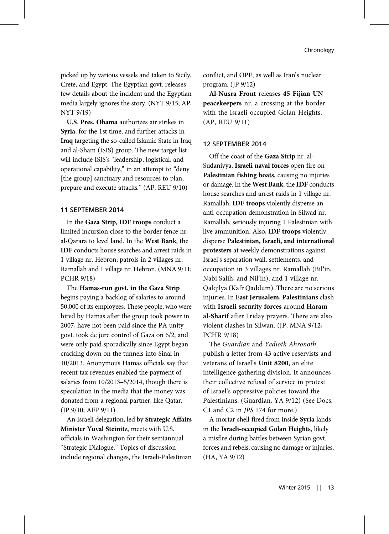picked up by various vessels and taken to Sicily, Crete, and Egypt. The Egyptian govt. releases few details about the incident and the Egyptian media largely ignores the story. (NYT 9/15; AP, NYT 9/19)

U.S. Pres. Obama authorizes air strikes in Syria, for the 1st time, and further attacks in Iraq targeting the so-called Islamic State in Iraq and al-Sham (ISIS) group. The new target list will include ISIS's "leadership, logistical, and operational capability," in an attempt to "deny [the group] sanctuary and resources to plan, prepare and execute attacks." (AP, REU 9/10)

## 11 SEPTEMBER 2014

In the Gaza Strip, IDF troops conduct a limited incursion close to the border fence nr. al-Qarara to level land. In the West Bank, the IDF conducts house searches and arrest raids in 1 village nr. Hebron; patrols in 2 villages nr. Ramallah and 1 village nr. Hebron. (MNA 9/11; PCHR 9/18)

The Hamas-run govt. in the Gaza Strip begins paying a backlog of salaries to around 50,000 of its employees. These people, who were hired by Hamas after the group took power in 2007, have not been paid since the PA unity govt. took de jure control of Gaza on 6/2, and were only paid sporadically since Egypt began cracking down on the tunnels into Sinai in 10/2013. Anonymous Hamas officials say that recent tax revenues enabled the payment of salaries from 10/2013–5/2014, though there is speculation in the media that the money was donated from a regional partner, like Qatar. (JP 9/10; AFP 9/11)

An Israeli delegation, led by Strategic Affairs Minister Yuval Steinitz, meets with U.S. officials in Washington for their semiannual "Strategic Dialogue." Topics of discussion include regional changes, the Israeli-Palestinian

conflict, and OPE, as well as Iran's nuclear program. (JP 9/12)

Al-Nusra Front releases 45 Fijian UN peacekeepers nr. a crossing at the border with the Israeli-occupied Golan Heights. (AP, REU 9/11)

#### 12 SEPTEMBER 2014

Off the coast of the Gaza Strip nr. al-Sudaniyya, Israeli naval forces open fire on Palestinian fishing boats, causing no injuries or damage. In the West Bank, the IDF conducts house searches and arrest raids in 1 village nr. Ramallah. IDF troops violently disperse an anti-occupation demonstration in Silwad nr. Ramallah, seriously injuring 1 Palestinian with live ammunition. Also, IDF troops violently disperse Palestinian, Israeli, and international protesters at weekly demonstrations against Israel's separation wall, settlements, and occupation in 3 villages nr. Ramallah (Bil'in, Nabi Salih, and Nil'in), and 1 village nr. Qalqilya (Kafr Qaddum). There are no serious injuries. In East Jerusalem, Palestinians clash with Israeli security forces around Haram al-Sharif after Friday prayers. There are also violent clashes in Silwan. (JP, MNA 9/12; PCHR 9/18)

The Guardian and Yedioth Ahronoth publish a letter from 43 active reservists and veterans of Israel's Unit 8200, an elite intelligence gathering division. It announces their collective refusal of service in protest of Israel's oppressive policies toward the Palestinians. (Guardian, YA 9/12) (See Docs. C1 and C2 in JPS 174 for more.)

A mortar shell fired from inside Syria lands in the Israeli-occupied Golan Heights, likely a misfire during battles between Syrian govt. forces and rebels, causing no damage or injuries. (HA, YA 9/12)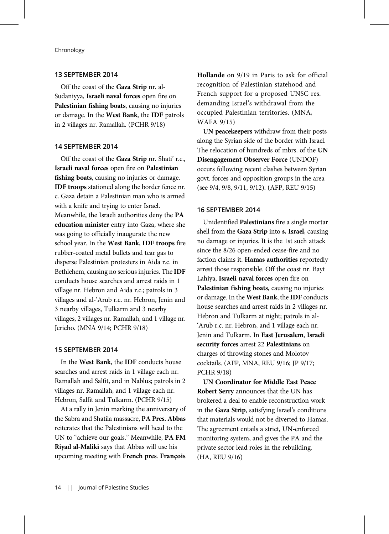## 13 SEPTEMBER 2014

Off the coast of the Gaza Strip nr. al-Sudaniyya, Israeli naval forces open fire on Palestinian fishing boats, causing no injuries or damage. In the West Bank, the IDF patrols in 2 villages nr. Ramallah. (PCHR 9/18)

#### 14 SEPTEMBER 2014

Off the coast of the Gaza Strip nr. Shati' r.c., Israeli naval forces open fire on Palestinian fishing boats, causing no injuries or damage. IDF troops stationed along the border fence nr. c. Gaza detain a Palestinian man who is armed with a knife and trying to enter Israel. Meanwhile, the Israeli authorities deny the PA education minister entry into Gaza, where she was going to officially inaugurate the new school year. In the West Bank, IDF troops fire rubber-coated metal bullets and tear gas to disperse Palestinian protesters in Aida r.c. in Bethlehem, causing no serious injuries. The IDF conducts house searches and arrest raids in 1 village nr. Hebron and Aida r.c.; patrols in 3 villages and al-'Arub r.c. nr. Hebron, Jenin and 3 nearby villages, Tulkarm and 3 nearby villages, 2 villages nr. Ramallah, and 1 village nr. Jericho. (MNA 9/14; PCHR 9/18)

## 15 SEPTEMBER 2014

In the West Bank, the IDF conducts house searches and arrest raids in 1 village each nr. Ramallah and Salfit, and in Nablus; patrols in 2 villages nr. Ramallah, and 1 village each nr. Hebron, Salfit and Tulkarm. (PCHR 9/15)

At a rally in Jenin marking the anniversary of the Sabra and Shatila massacre, PA Pres. Abbas reiterates that the Palestinians will head to the UN to "achieve our goals." Meanwhile, PA FM Riyad al-Maliki says that Abbas will use his upcoming meeting with French pres. François

Hollande on 9/19 in Paris to ask for official recognition of Palestinian statehood and French support for a proposed UNSC res. demanding Israel's withdrawal from the occupied Palestinian territories. (MNA, WAFA 9/15)

UN peacekeepers withdraw from their posts along the Syrian side of the border with Israel. The relocation of hundreds of mbrs. of the UN Disengagement Observer Force (UNDOF) occurs following recent clashes between Syrian govt. forces and opposition groups in the area (see 9/4, 9/8, 9/11, 9/12). (AFP, REU 9/15)

#### 16 SEPTEMBER 2014

Unidentified Palestinians fire a single mortar shell from the Gaza Strip into s. Israel, causing no damage or injuries. It is the 1st such attack since the 8/26 open-ended cease-fire and no faction claims it. Hamas authorities reportedly arrest those responsible. Off the coast nr. Bayt Lahiya, Israeli naval forces open fire on Palestinian fishing boats, causing no injuries or damage. In the West Bank, the IDF conducts house searches and arrest raids in 2 villages nr. Hebron and Tulkarm at night; patrols in al- 'Arub r.c. nr. Hebron, and 1 village each nr. Jenin and Tulkarm. In East Jerusalem, Israeli security forces arrest 22 Palestinians on charges of throwing stones and Molotov cocktails. (AFP, MNA, REU 9/16; JP 9/17; PCHR 9/18)

UN Coordinator for Middle East Peace Robert Serry announces that the UN has brokered a deal to enable reconstruction work in the Gaza Strip, satisfying Israel's conditions that materials would not be diverted to Hamas. The agreement entails a strict, UN-enforced monitoring system, and gives the PA and the private sector lead roles in the rebuilding. (HA, REU 9/16)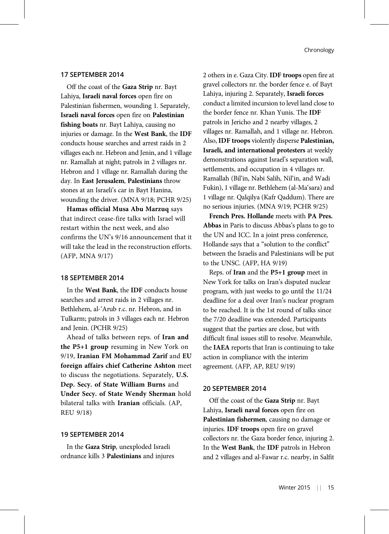## 17 SEPTEMBER 2014

Off the coast of the Gaza Strip nr. Bayt Lahiya, Israeli naval forces open fire on Palestinian fishermen, wounding 1. Separately, Israeli naval forces open fire on Palestinian fishing boats nr. Bayt Lahiya, causing no injuries or damage. In the West Bank, the IDF conducts house searches and arrest raids in 2 villages each nr. Hebron and Jenin, and 1 village nr. Ramallah at night; patrols in 2 villages nr. Hebron and 1 village nr. Ramallah during the day. In East Jerusalem, Palestinians throw stones at an Israeli's car in Bayt Hanina, wounding the driver. (MNA 9/18; PCHR 9/25)

Hamas official Musa Abu Marzuq says that indirect cease-fire talks with Israel will restart within the next week, and also confirms the UN's 9/16 announcement that it will take the lead in the reconstruction efforts. (AFP, MNA 9/17)

#### 18 SEPTEMBER 2014

In the West Bank, the IDF conducts house searches and arrest raids in 2 villages nr. Bethlehem, al-'Arub r.c. nr. Hebron, and in Tulkarm; patrols in 3 villages each nr. Hebron and Jenin. (PCHR 9/25)

Ahead of talks between reps. of Iran and the P5+1 group resuming in New York on 9/19, Iranian FM Mohammad Zarif and EU foreign affairs chief Catherine Ashton meet to discuss the negotiations. Separately, U.S. Dep. Secy. of State William Burns and Under Secy. of State Wendy Sherman hold bilateral talks with Iranian officials. (AP, REU 9/18)

## 19 SEPTEMBER 2014

In the Gaza Strip, unexploded Israeli ordnance kills 3 Palestinians and injures 2 others in e. Gaza City. IDF troops open fire at gravel collectors nr. the border fence e. of Bayt Lahiya, injuring 2. Separately, Israeli forces conduct a limited incursion to level land close to the border fence nr. Khan Yunis. The IDF patrols in Jericho and 2 nearby villages, 2 villages nr. Ramallah, and 1 village nr. Hebron. Also, IDF troops violently disperse Palestinian, Israeli, and international protesters at weekly demonstrations against Israel's separation wall, settlements, and occupation in 4 villages nr. Ramallah (Bil'in, Nabi Salih, Nil'in, and Wadi Fukin), 1 village nr. Bethlehem (al-Ma'sara) and 1 village nr. Qalqilya (Kafr Qaddum). There are no serious injuries. (MNA 9/19; PCHR 9/25)

French Pres. Hollande meets with PA Pres. Abbas in Paris to discuss Abbas's plans to go to the UN and ICC. In a joint press conference, Hollande says that a "solution to the conflict" between the Israelis and Palestinians will be put to the UNSC. (AFP, HA 9/19)

Reps. of Iran and the P5+1 group meet in New York for talks on Iran's disputed nuclear program, with just weeks to go until the 11/24 deadline for a deal over Iran's nuclear program to be reached. It is the 1st round of talks since the 7/20 deadline was extended. Participants suggest that the parties are close, but with difficult final issues still to resolve. Meanwhile, the IAEA reports that Iran is continuing to take action in compliance with the interim agreement. (AFP, AP, REU 9/19)

#### 20 SEPTEMBER 2014

Off the coast of the Gaza Strip nr. Bayt Lahiya, Israeli naval forces open fire on Palestinian fishermen, causing no damage or injuries. IDF troops open fire on gravel collectors nr. the Gaza border fence, injuring 2. In the West Bank, the IDF patrols in Hebron and 2 villages and al-Fawar r.c. nearby, in Salfit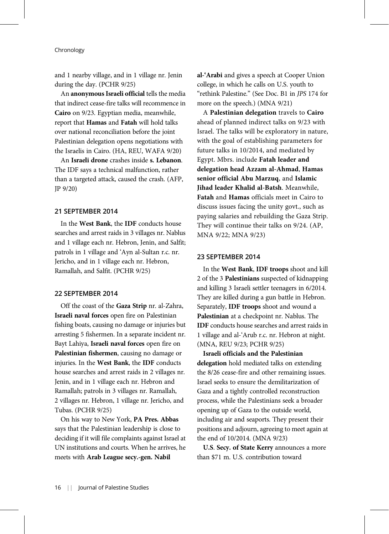and 1 nearby village, and in 1 village nr. Jenin during the day. (PCHR 9/25)

An anonymous Israeli official tells the media that indirect cease-fire talks will recommence in Cairo on 9/23. Egyptian media, meanwhile, report that Hamas and Fatah will hold talks over national reconciliation before the joint Palestinian delegation opens negotiations with the Israelis in Cairo. (HA, REU, WAFA 9/20)

An Israeli drone crashes inside s. Lebanon. The IDF says a technical malfunction, rather than a targeted attack, caused the crash. (AFP, JP 9/20)

#### 21 SEPTEMBER 2014

In the West Bank, the IDF conducts house searches and arrest raids in 3 villages nr. Nablus and 1 village each nr. Hebron, Jenin, and Salfit; patrols in 1 village and 'Ayn al-Sultan r.c. nr. Jericho, and in 1 village each nr. Hebron, Ramallah, and Salfit. (PCHR 9/25)

#### 22 SEPTEMBER 2014

Off the coast of the Gaza Strip nr. al-Zahra, Israeli naval forces open fire on Palestinian fishing boats, causing no damage or injuries but arresting 5 fishermen. In a separate incident nr. Bayt Lahiya, Israeli naval forces open fire on Palestinian fishermen, causing no damage or injuries. In the West Bank, the IDF conducts house searches and arrest raids in 2 villages nr. Jenin, and in 1 village each nr. Hebron and Ramallah; patrols in 3 villages nr. Ramallah, 2 villages nr. Hebron, 1 village nr. Jericho, and Tubas. (PCHR 9/25)

On his way to New York, PA Pres. Abbas says that the Palestinian leadership is close to deciding if it will file complaints against Israel at UN institutions and courts. When he arrives, he meets with Arab League secy.-gen. Nabil

al-'Arabi and gives a speech at Cooper Union college, in which he calls on U.S. youth to "rethink Palestine." (See Doc. B1 in JPS 174 for more on the speech.) (MNA 9/21)

A Palestinian delegation travels to Cairo ahead of planned indirect talks on 9/23 with Israel. The talks will be exploratory in nature, with the goal of establishing parameters for future talks in 10/2014, and mediated by Egypt. Mbrs. include Fatah leader and delegation head Azzam al-Ahmad, Hamas senior official Abu Marzuq, and Islamic Jihad leader Khalid al-Batsh. Meanwhile, Fatah and Hamas officials meet in Cairo to discuss issues facing the unity govt., such as paying salaries and rebuilding the Gaza Strip. They will continue their talks on 9/24. (AP, MNA 9/22; MNA 9/23)

## 23 SEPTEMBER 2014

In the West Bank, IDF troops shoot and kill 2 of the 3 Palestinians suspected of kidnapping and killing 3 Israeli settler teenagers in 6/2014. They are killed during a gun battle in Hebron. Separately, IDF troops shoot and wound a Palestinian at a checkpoint nr. Nablus. The IDF conducts house searches and arrest raids in 1 village and al-'Arub r.c. nr. Hebron at night. (MNA, REU 9/23; PCHR 9/25)

Israeli officials and the Palestinian delegation hold mediated talks on extending the 8/26 cease-fire and other remaining issues. Israel seeks to ensure the demilitarization of Gaza and a tightly controlled reconstruction process, while the Palestinians seek a broader opening up of Gaza to the outside world, including air and seaports. They present their positions and adjourn, agreeing to meet again at the end of 10/2014. (MNA 9/23)

U.S. Secy. of State Kerry announces a more than \$71 m. U.S. contribution toward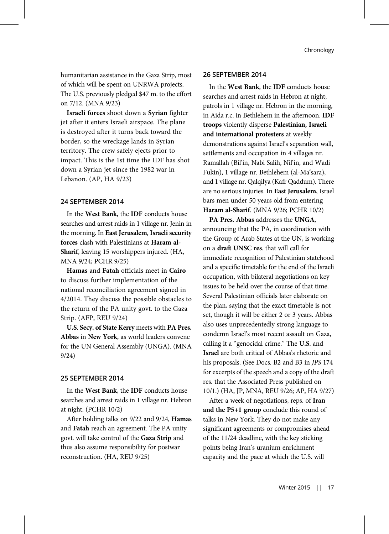humanitarian assistance in the Gaza Strip, most of which will be spent on UNRWA projects. The U.S. previously pledged \$47 m. to the effort on 7/12. (MNA 9/23)

Israeli forces shoot down a Syrian fighter jet after it enters Israeli airspace. The plane is destroyed after it turns back toward the border, so the wreckage lands in Syrian territory. The crew safely ejects prior to impact. This is the 1st time the IDF has shot down a Syrian jet since the 1982 war in Lebanon. (AP, HA 9/23)

# 24 SEPTEMBER 2014

In the West Bank, the IDF conducts house searches and arrest raids in 1 village nr. Jenin in the morning. In East Jerusalem, Israeli security forces clash with Palestinians at Haram al-Sharif, leaving 15 worshippers injured. (HA, MNA 9/24; PCHR 9/25)

Hamas and Fatah officials meet in Cairo to discuss further implementation of the national reconciliation agreement signed in 4/2014. They discuss the possible obstacles to the return of the PA unity govt. to the Gaza Strip. (AFP, REU 9/24)

U.S. Secy. of State Kerry meets with PA Pres. Abbas in New York, as world leaders convene for the UN General Assembly (UNGA). (MNA 9/24)

## 25 SEPTEMBER 2014

In the West Bank, the IDF conducts house searches and arrest raids in 1 village nr. Hebron at night. (PCHR 10/2)

After holding talks on 9/22 and 9/24, Hamas and Fatah reach an agreement. The PA unity govt. will take control of the Gaza Strip and thus also assume responsibility for postwar reconstruction. (HA, REU 9/25)

## 26 SEPTEMBER 2014

In the West Bank, the IDF conducts house searches and arrest raids in Hebron at night; patrols in 1 village nr. Hebron in the morning, in Aida r.c. in Bethlehem in the afternoon. IDF troops violently disperse Palestinian, Israeli and international protesters at weekly demonstrations against Israel's separation wall, settlements and occupation in 4 villages nr. Ramallah (Bil'in, Nabi Salih, Nil'in, and Wadi Fukin), 1 village nr. Bethlehem (al-Ma'sara), and 1 village nr. Qalqilya (Kafr Qaddum). There are no serious injuries. In East Jerusalem, Israel bars men under 50 years old from entering Haram al-Sharif. (MNA 9/26; PCHR 10/2)

PA Pres. Abbas addresses the UNGA, announcing that the PA, in coordination with the Group of Arab States at the UN, is working on a draft UNSC res. that will call for immediate recognition of Palestinian statehood and a specific timetable for the end of the Israeli occupation, with bilateral negotiations on key issues to be held over the course of that time. Several Palestinian officials later elaborate on the plan, saying that the exact timetable is not set, though it will be either 2 or 3 years. Abbas also uses unprecedentedly strong language to condemn Israel's most recent assault on Gaza, calling it a "genocidal crime." The U.S. and Israel are both critical of Abbas's rhetoric and his proposals. (See Docs. B2 and B3 in JPS 174 for excerpts of the speech and a copy of the draft res. that the Associated Press published on 10/1.) (HA, JP, MNA, REU 9/26; AP, HA 9/27)

After a week of negotiations, reps. of Iran and the P5+1 group conclude this round of talks in New York. They do not make any significant agreements or compromises ahead of the 11/24 deadline, with the key sticking points being Iran's uranium enrichment capacity and the pace at which the U.S. will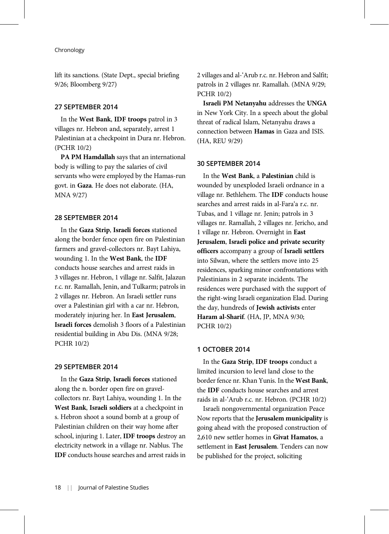lift its sanctions. (State Dept., special briefing 9/26; Bloomberg 9/27)

#### 27 SEPTEMBER 2014

In the West Bank, IDF troops patrol in 3 villages nr. Hebron and, separately, arrest 1 Palestinian at a checkpoint in Dura nr. Hebron. (PCHR 10/2)

PA PM Hamdallah says that an international body is willing to pay the salaries of civil servants who were employed by the Hamas-run govt. in Gaza. He does not elaborate. (HA, MNA 9/27)

## 28 SEPTEMBER 2014

In the Gaza Strip, Israeli forces stationed along the border fence open fire on Palestinian farmers and gravel-collectors nr. Bayt Lahiya, wounding 1. In the West Bank, the IDF conducts house searches and arrest raids in 3 villages nr. Hebron, 1 village nr. Salfit, Jalazun r.c. nr. Ramallah, Jenin, and Tulkarm; patrols in 2 villages nr. Hebron. An Israeli settler runs over a Palestinian girl with a car nr. Hebron, moderately injuring her. In East Jerusalem, Israeli forces demolish 3 floors of a Palestinian residential building in Abu Dis. (MNA 9/28; PCHR 10/2)

## 29 SEPTEMBER 2014

In the Gaza Strip, Israeli forces stationed along the n. border open fire on gravelcollectors nr. Bayt Lahiya, wounding 1. In the West Bank, Israeli soldiers at a checkpoint in s. Hebron shoot a sound bomb at a group of Palestinian children on their way home after school, injuring 1. Later, IDF troops destroy an electricity network in a village nr. Nablus. The IDF conducts house searches and arrest raids in 2 villages and al-'Arub r.c. nr. Hebron and Salfit; patrols in 2 villages nr. Ramallah. (MNA 9/29; PCHR 10/2)

Israeli PM Netanyahu addresses the UNGA in New York City. In a speech about the global threat of radical Islam, Netanyahu draws a connection between Hamas in Gaza and ISIS. (HA, REU 9/29)

#### 30 SEPTEMBER 2014

In the West Bank, a Palestinian child is wounded by unexploded Israeli ordnance in a village nr. Bethlehem. The IDF conducts house searches and arrest raids in al-Fara'a r.c. nr. Tubas, and 1 village nr. Jenin; patrols in 3 villages nr. Ramallah, 2 villages nr. Jericho, and 1 village nr. Hebron. Overnight in East Jerusalem, Israeli police and private security officers accompany a group of Israeli settlers into Silwan, where the settlers move into 25 residences, sparking minor confrontations with Palestinians in 2 separate incidents. The residences were purchased with the support of the right-wing Israeli organization Elad. During the day, hundreds of Jewish activists enter Haram al-Sharif. (HA, JP, MNA 9/30; PCHR 10/2)

#### 1 OCTOBER 2014

In the Gaza Strip, IDF troops conduct a limited incursion to level land close to the border fence nr. Khan Yunis. In the West Bank, the IDF conducts house searches and arrest raids in al-'Arub r.c. nr. Hebron. (PCHR 10/2)

Israeli nongovernmental organization Peace Now reports that the Jerusalem municipality is going ahead with the proposed construction of 2,610 new settler homes in Givat Hamatos, a settlement in East Jerusalem. Tenders can now be published for the project, soliciting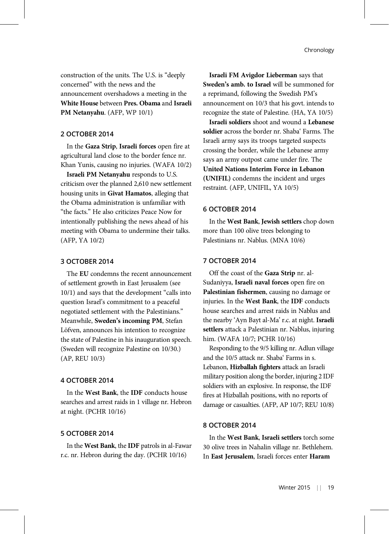construction of the units. The U.S. is "deeply concerned" with the news and the announcement overshadows a meeting in the White House between Pres. Obama and Israeli PM Netanyahu. (AFP, WP 10/1)

## 2 OCTOBER 2014

In the Gaza Strip, Israeli forces open fire at agricultural land close to the border fence nr. Khan Yunis, causing no injuries. (WAFA 10/2)

Israeli PM Netanyahu responds to U.S. criticism over the planned 2,610 new settlement housing units in Givat Hamatos, alleging that the Obama administration is unfamiliar with "the facts." He also criticizes Peace Now for intentionally publishing the news ahead of his meeting with Obama to undermine their talks. (AFP, YA 10/2)

## 3 OCTOBER 2014

The EU condemns the recent announcement of settlement growth in East Jerusalem (see 10/1) and says that the development "calls into question Israel's commitment to a peaceful negotiated settlement with the Palestinians." Meanwhile, Sweden's incoming PM, Stefan Löfven, announces his intention to recognize the state of Palestine in his inauguration speech. (Sweden will recognize Palestine on 10/30.) (AP, REU 10/3)

## 4 OCTOBER 2014

In the West Bank, the IDF conducts house searches and arrest raids in 1 village nr. Hebron at night. (PCHR 10/16)

## 5 OCTOBER 2014

In the West Bank, the IDF patrols in al-Fawar r.c. nr. Hebron during the day. (PCHR 10/16)

Israeli FM Avigdor Lieberman says that Sweden's amb. to Israel will be summoned for a reprimand, following the Swedish PM's announcement on 10/3 that his govt. intends to recognize the state of Palestine. (HA, YA 10/5)

Israeli soldiers shoot and wound a Lebanese soldier across the border nr. Shaba' Farms. The Israeli army says its troops targeted suspects crossing the border, while the Lebanese army says an army outpost came under fire. The United Nations Interim Force in Lebanon (UNIFIL) condemns the incident and urges restraint. (AFP, UNIFIL, YA 10/5)

## 6 OCTOBER 2014

In the West Bank, Jewish settlers chop down more than 100 olive trees belonging to Palestinians nr. Nablus. (MNA 10/6)

## 7 OCTOBER 2014

Off the coast of the Gaza Strip nr. al-Sudaniyya, Israeli naval forces open fire on Palestinian fishermen, causing no damage or injuries. In the West Bank, the IDF conducts house searches and arrest raids in Nablus and the nearby 'Ayn Bayt al-Ma' r.c. at night. Israeli settlers attack a Palestinian nr. Nablus, injuring him. (WAFA 10/7; PCHR 10/16)

Responding to the 9/5 killing nr. Adlun village and the 10/5 attack nr. Shaba' Farms in s. Lebanon, Hizballah fighters attack an Israeli military position along the border, injuring 2 IDF soldiers with an explosive. In response, the IDF fires at Hizballah positions, with no reports of damage or casualties. (AFP, AP 10/7; REU 10/8)

## 8 OCTOBER 2014

In the West Bank, Israeli settlers torch some 30 olive trees in Nahalin village nr. Bethlehem. In East Jerusalem, Israeli forces enter Haram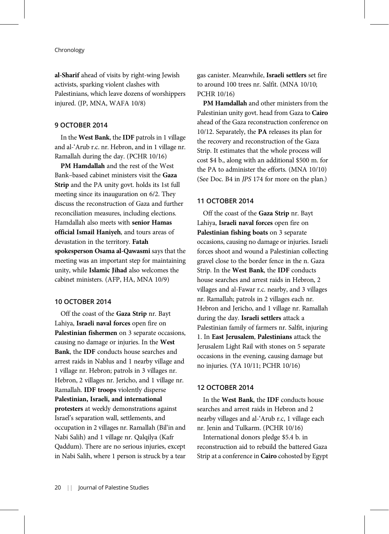al-Sharif ahead of visits by right-wing Jewish activists, sparking violent clashes with Palestinians, which leave dozens of worshippers injured. (JP, MNA, WAFA 10/8)

## 9 OCTOBER 2014

In the West Bank, the IDF patrols in 1 village and al-'Arub r.c. nr. Hebron, and in 1 village nr. Ramallah during the day. (PCHR 10/16)

PM Hamdallah and the rest of the West Bank–based cabinet ministers visit the Gaza Strip and the PA unity govt. holds its 1st full meeting since its inauguration on 6/2. They discuss the reconstruction of Gaza and further reconciliation measures, including elections. Hamdallah also meets with senior Hamas official Ismail Haniyeh, and tours areas of devastation in the territory. Fatah spokesperson Osama al-Qawasmi says that the meeting was an important step for maintaining unity, while Islamic Jihad also welcomes the cabinet ministers. (AFP, HA, MNA 10/9)

## 10 OCTOBER 2014

Off the coast of the Gaza Strip nr. Bayt Lahiya, Israeli naval forces open fire on Palestinian fishermen on 3 separate occasions, causing no damage or injuries. In the West Bank, the IDF conducts house searches and arrest raids in Nablus and 1 nearby village and 1 village nr. Hebron; patrols in 3 villages nr. Hebron, 2 villages nr. Jericho, and 1 village nr. Ramallah. IDF troops violently disperse Palestinian, Israeli, and international protesters at weekly demonstrations against Israel's separation wall, settlements, and occupation in 2 villages nr. Ramallah (Bil'in and Nabi Salih) and 1 village nr. Qalqilya (Kafr Qaddum). There are no serious injuries, except in Nabi Salih, where 1 person is struck by a tear gas canister. Meanwhile, Israeli settlers set fire to around 100 trees nr. Salfit. (MNA 10/10; PCHR 10/16)

PM Hamdallah and other ministers from the Palestinian unity govt. head from Gaza to Cairo ahead of the Gaza reconstruction conference on 10/12. Separately, the PA releases its plan for the recovery and reconstruction of the Gaza Strip. It estimates that the whole process will cost \$4 b., along with an additional \$500 m. for the PA to administer the efforts. (MNA 10/10) (See Doc. B4 in JPS 174 for more on the plan.)

#### 11 OCTOBER 2014

Off the coast of the Gaza Strip nr. Bayt Lahiya, Israeli naval forces open fire on Palestinian fishing boats on 3 separate occasions, causing no damage or injuries. Israeli forces shoot and wound a Palestinian collecting gravel close to the border fence in the n. Gaza Strip. In the West Bank, the IDF conducts house searches and arrest raids in Hebron, 2 villages and al-Fawar r.c. nearby, and 3 villages nr. Ramallah; patrols in 2 villages each nr. Hebron and Jericho, and 1 village nr. Ramallah during the day. Israeli settlers attack a Palestinian family of farmers nr. Salfit, injuring 1. In East Jerusalem, Palestinians attack the Jerusalem Light Rail with stones on 5 separate occasions in the evening, causing damage but no injuries. (YA 10/11; PCHR 10/16)

#### 12 OCTOBER 2014

In the West Bank, the IDF conducts house searches and arrest raids in Hebron and 2 nearby villages and al-'Arub r.c, 1 village each nr. Jenin and Tulkarm. (PCHR 10/16)

International donors pledge \$5.4 b. in reconstruction aid to rebuild the battered Gaza Strip at a conference in Cairo cohosted by Egypt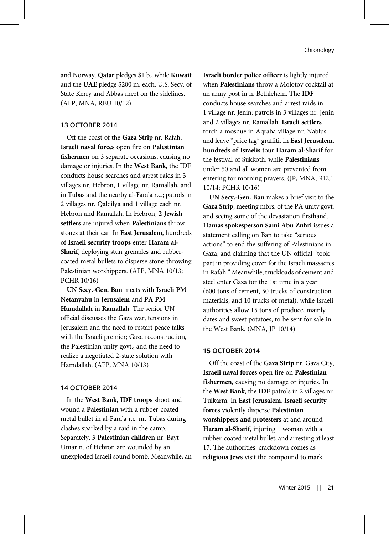and Norway. Qatar pledges \$1 b., while Kuwait and the UAE pledge \$200 m. each. U.S. Secy. of State Kerry and Abbas meet on the sidelines. (AFP, MNA, REU 10/12)

## 13 OCTOBER 2014

Off the coast of the Gaza Strip nr. Rafah, Israeli naval forces open fire on Palestinian fishermen on 3 separate occasions, causing no damage or injuries. In the West Bank, the IDF conducts house searches and arrest raids in 3 villages nr. Hebron, 1 village nr. Ramallah, and in Tubas and the nearby al-Fara'a r.c.; patrols in 2 villages nr. Qalqilya and 1 village each nr. Hebron and Ramallah. In Hebron, 2 Jewish settlers are injured when Palestinians throw stones at their car. In East Jerusalem, hundreds of Israeli security troops enter Haram al-Sharif, deploying stun grenades and rubbercoated metal bullets to disperse stone-throwing Palestinian worshippers. (AFP, MNA 10/13; PCHR 10/16)

UN Secy.-Gen. Ban meets with Israeli PM Netanyahu in Jerusalem and PA PM Hamdallah in Ramallah. The senior UN official discusses the Gaza war, tensions in Jerusalem and the need to restart peace talks with the Israeli premier; Gaza reconstruction, the Palestinian unity govt., and the need to realize a negotiated 2-state solution with Hamdallah. (AFP, MNA 10/13)

## 14 OCTOBER 2014

In the West Bank, IDF troops shoot and wound a Palestinian with a rubber-coated metal bullet in al-Fara'a r.c. nr. Tubas during clashes sparked by a raid in the camp. Separately, 3 Palestinian children nr. Bayt Umar n. of Hebron are wounded by an unexploded Israeli sound bomb. Meanwhile, an Israeli border police officer is lightly injured when Palestinians throw a Molotov cocktail at an army post in n. Bethlehem. The IDF conducts house searches and arrest raids in 1 village nr. Jenin; patrols in 3 villages nr. Jenin and 2 villages nr. Ramallah. Israeli settlers torch a mosque in Aqraba village nr. Nablus and leave "price tag" graffiti. In East Jerusalem, hundreds of Israelis tour Haram al-Sharif for the festival of Sukkoth, while Palestinians under 50 and all women are prevented from entering for morning prayers. (JP, MNA, REU 10/14; PCHR 10/16)

UN Secy.-Gen. Ban makes a brief visit to the Gaza Strip, meeting mbrs. of the PA unity govt. and seeing some of the devastation firsthand. Hamas spokesperson Sami Abu Zuhri issues a statement calling on Ban to take "serious actions" to end the suffering of Palestinians in Gaza, and claiming that the UN official "took part in providing cover for the Israeli massacres in Rafah." Meanwhile, truckloads of cement and steel enter Gaza for the 1st time in a year (600 tons of cement, 50 trucks of construction materials, and 10 trucks of metal), while Israeli authorities allow 15 tons of produce, mainly dates and sweet potatoes, to be sent for sale in the West Bank. (MNA, JP 10/14)

## 15 OCTOBER 2014

Off the coast of the Gaza Strip nr. Gaza City, Israeli naval forces open fire on Palestinian fishermen, causing no damage or injuries. In the West Bank, the IDF patrols in 2 villages nr. Tulkarm. In East Jerusalem, Israeli security forces violently disperse Palestinian worshippers and protesters at and around Haram al-Sharif, injuring 1 woman with a rubber-coated metal bullet, and arresting at least 17. The authorities' crackdown comes as religious Jews visit the compound to mark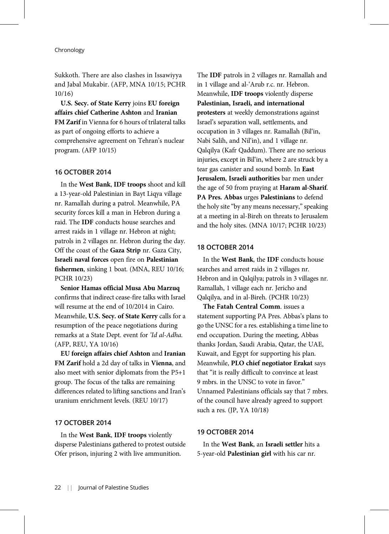Sukkoth. There are also clashes in Issawiyya and Jabal Mukabir. (AFP, MNA 10/15; PCHR 10/16)

U.S. Secy. of State Kerry joins EU foreign affairs chief Catherine Ashton and Iranian FM Zarif in Vienna for 6 hours of trilateral talks as part of ongoing efforts to achieve a comprehensive agreement on Tehran's nuclear program. (AFP 10/15)

## 16 OCTOBER 2014

In the West Bank, IDF troops shoot and kill a 13-year-old Palestinian in Bayt Liqya village nr. Ramallah during a patrol. Meanwhile, PA security forces kill a man in Hebron during a raid. The IDF conducts house searches and arrest raids in 1 village nr. Hebron at night; patrols in 2 villages nr. Hebron during the day. Off the coast of the Gaza Strip nr. Gaza City, Israeli naval forces open fire on Palestinian fishermen, sinking 1 boat. (MNA, REU 10/16; PCHR 10/23)

Senior Hamas official Musa Abu Marzuq confirms that indirect cease-fire talks with Israel will resume at the end of 10/2014 in Cairo. Meanwhile, U.S. Secy. of State Kerry calls for a resumption of the peace negotiations during remarks at a State Dept. event for 'Id al-Adha. (AFP, REU, YA 10/16)

EU foreign affairs chief Ashton and Iranian FM Zarif hold a 2d day of talks in Vienna, and also meet with senior diplomats from the P5+1 group. The focus of the talks are remaining differences related to lifting sanctions and Iran's uranium enrichment levels. (REU 10/17)

## 17 OCTOBER 2014

In the West Bank, IDF troops violently disperse Palestinians gathered to protest outside Ofer prison, injuring 2 with live ammunition.

The IDF patrols in 2 villages nr. Ramallah and in 1 village and al-'Arub r.c. nr. Hebron. Meanwhile, IDF troops violently disperse Palestinian, Israeli, and international protesters at weekly demonstrations against Israel's separation wall, settlements, and occupation in 3 villages nr. Ramallah (Bil'in, Nabi Salih, and Nil'in), and 1 village nr. Qalqilya (Kafr Qaddum). There are no serious injuries, except in Bil'in, where 2 are struck by a tear gas canister and sound bomb. In East Jerusalem, Israeli authorities bar men under the age of 50 from praying at Haram al-Sharif. PA Pres. Abbas urges Palestinians to defend the holy site "by any means necessary,"speaking at a meeting in al-Bireh on threats to Jerusalem and the holy sites. (MNA 10/17; PCHR 10/23)

## 18 OCTOBER 2014

In the West Bank, the IDF conducts house searches and arrest raids in 2 villages nr. Hebron and in Qalqilya; patrols in 3 villages nr. Ramallah, 1 village each nr. Jericho and Qalqilya, and in al-Bireh. (PCHR 10/23)

The Fatah Central Comm. issues a statement supporting PA Pres. Abbas's plans to go the UNSC for a res. establishing a time line to end occupation. During the meeting, Abbas thanks Jordan, Saudi Arabia, Qatar, the UAE, Kuwait, and Egypt for supporting his plan. Meanwhile, PLO chief negotiator Erakat says that "it is really difficult to convince at least 9 mbrs. in the UNSC to vote in favor." Unnamed Palestinians officials say that 7 mbrs. of the council have already agreed to support such a res. (JP, YA 10/18)

## 19 OCTOBER 2014

In the West Bank, an Israeli settler hits a 5-year-old Palestinian girl with his car nr.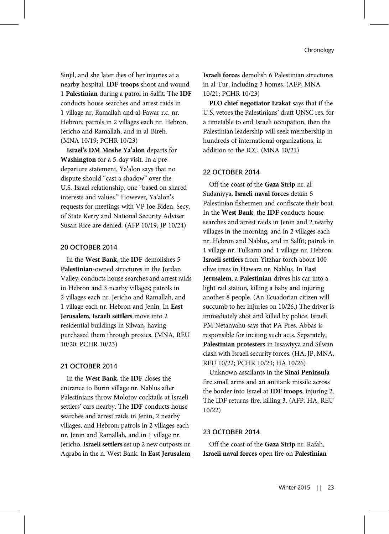Sinjil, and she later dies of her injuries at a nearby hospital. IDF troops shoot and wound 1 Palestinian during a patrol in Salfit. The IDF conducts house searches and arrest raids in 1 village nr. Ramallah and al-Fawar r.c. nr. Hebron; patrols in 2 villages each nr. Hebron, Jericho and Ramallah, and in al-Bireh. (MNA 10/19; PCHR 10/23)

Israel's DM Moshe Ya'alon departs for Washington for a 5-day visit. In a predeparture statement, Ya'alon says that no dispute should "cast a shadow" over the U.S.-Israel relationship, one "based on shared interests and values." However, Ya'alon's requests for meetings with VP Joe Biden, Secy. of State Kerry and National Security Adviser Susan Rice are denied. (AFP 10/19; JP 10/24)

## 20 OCTOBER 2014

In the West Bank, the IDF demolishes 5 Palestinian-owned structures in the Jordan Valley; conducts house searches and arrest raids in Hebron and 3 nearby villages; patrols in 2 villages each nr. Jericho and Ramallah, and 1 village each nr. Hebron and Jenin. In East Jerusalem, Israeli settlers move into 2 residential buildings in Silwan, having purchased them through proxies. (MNA, REU 10/20; PCHR 10/23)

#### 21 OCTOBER 2014

In the West Bank, the IDF closes the entrance to Burin village nr. Nablus after Palestinians throw Molotov cocktails at Israeli settlers' cars nearby. The IDF conducts house searches and arrest raids in Jenin, 2 nearby villages, and Hebron; patrols in 2 villages each nr. Jenin and Ramallah, and in 1 village nr. Jericho. Israeli settlers set up 2 new outposts nr. Aqraba in the n. West Bank. In East Jerusalem, Israeli forces demolish 6 Palestinian structures in al-Tur, including 3 homes. (AFP, MNA 10/21; PCHR 10/23)

PLO chief negotiator Erakat says that if the U.S. vetoes the Palestinians' draft UNSC res. for a timetable to end Israeli occupation, then the Palestinian leadership will seek membership in hundreds of international organizations, in addition to the ICC. (MNA 10/21)

#### 22 OCTOBER 2014

Off the coast of the Gaza Strip nr. al-Sudaniyya, Israeli naval forces detain 5 Palestinian fishermen and confiscate their boat. In the West Bank, the IDF conducts house searches and arrest raids in Jenin and 2 nearby villages in the morning, and in 2 villages each nr. Hebron and Nablus, and in Salfit; patrols in 1 village nr. Tulkarm and 1 village nr. Hebron. Israeli settlers from Yitzhar torch about 100 olive trees in Hawara nr. Nablus. In East Jerusalem, a Palestinian drives his car into a light rail station, killing a baby and injuring another 8 people. (An Ecuadorian citizen will succumb to her injuries on 10/26.) The driver is immediately shot and killed by police. Israeli PM Netanyahu says that PA Pres. Abbas is responsible for inciting such acts. Separately, Palestinian protesters in Issawiyya and Silwan clash with Israeli security forces. (HA, JP, MNA, REU 10/22; PCHR 10/23; HA 10/26)

Unknown assailants in the Sinai Peninsula fire small arms and an antitank missile across the border into Israel at IDF troops, injuring 2. The IDF returns fire, killing 3. (AFP, HA, REU 10/22)

#### 23 OCTOBER 2014

Off the coast of the Gaza Strip nr. Rafah, Israeli naval forces open fire on Palestinian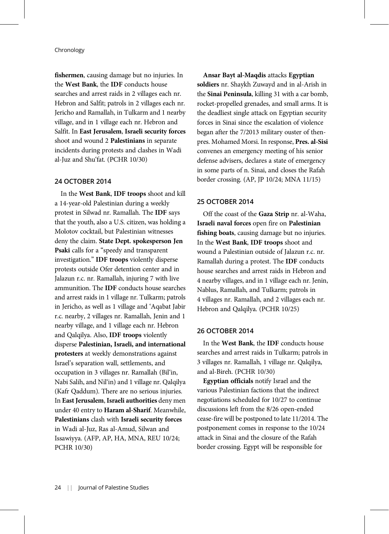fishermen, causing damage but no injuries. In the West Bank, the IDF conducts house searches and arrest raids in 2 villages each nr. Hebron and Salfit; patrols in 2 villages each nr. Jericho and Ramallah, in Tulkarm and 1 nearby village, and in 1 village each nr. Hebron and Salfit. In East Jerusalem, Israeli security forces shoot and wound 2 Palestinians in separate incidents during protests and clashes in Wadi al-Juz and Shu'fat. (PCHR 10/30)

#### 24 OCTOBER 2014

In the West Bank, IDF troops shoot and kill a 14-year-old Palestinian during a weekly protest in Silwad nr. Ramallah. The IDF says that the youth, also a U.S. citizen, was holding a Molotov cocktail, but Palestinian witnesses deny the claim. State Dept. spokesperson Jen Psaki calls for a "speedy and transparent investigation." IDF troops violently disperse protests outside Ofer detention center and in Jalazun r.c. nr. Ramallah, injuring 7 with live ammunition. The IDF conducts house searches and arrest raids in 1 village nr. Tulkarm; patrols in Jericho, as well as 1 village and 'Aqabat Jabir r.c. nearby, 2 villages nr. Ramallah, Jenin and 1 nearby village, and 1 village each nr. Hebron and Qalqilya. Also, IDF troops violently disperse Palestinian, Israeli, and international protesters at weekly demonstrations against Israel's separation wall, settlements, and occupation in 3 villages nr. Ramallah (Bil'in, Nabi Salih, and Nil'in) and 1 village nr. Qalqilya (Kafr Qaddum). There are no serious injuries. In East Jerusalem, Israeli authorities deny men under 40 entry to Haram al-Sharif. Meanwhile, Palestinians clash with Israeli security forces in Wadi al-Juz, Ras al-Amud, Silwan and Issawiyya. (AFP, AP, HA, MNA, REU 10/24; PCHR 10/30)

Ansar Bayt al-Maqdis attacks Egyptian soldiers nr. Shaykh Zuwayd and in al-Arish in the Sinai Peninsula, killing 31 with a car bomb, rocket-propelled grenades, and small arms. It is the deadliest single attack on Egyptian security forces in Sinai since the escalation of violence began after the 7/2013 military ouster of thenpres. Mohamed Morsi. In response, Pres. al-Sisi convenes an emergency meeting of his senior defense advisers, declares a state of emergency in some parts of n. Sinai, and closes the Rafah border crossing. (AP, JP 10/24; MNA 11/15)

## 25 OCTOBER 2014

Off the coast of the Gaza Strip nr. al-Waha, Israeli naval forces open fire on Palestinian fishing boats, causing damage but no injuries. In the West Bank, IDF troops shoot and wound a Palestinian outside of Jalazun r.c. nr. Ramallah during a protest. The IDF conducts house searches and arrest raids in Hebron and 4 nearby villages, and in 1 village each nr. Jenin, Nablus, Ramallah, and Tulkarm; patrols in 4 villages nr. Ramallah, and 2 villages each nr. Hebron and Qalqilya. (PCHR 10/25)

#### 26 OCTOBER 2014

In the West Bank, the IDF conducts house searches and arrest raids in Tulkarm; patrols in 3 villages nr. Ramallah, 1 village nr. Qalqilya, and al-Bireh. (PCHR 10/30)

Egyptian officials notify Israel and the various Palestinian factions that the indirect negotiations scheduled for 10/27 to continue discussions left from the 8/26 open-ended cease-fire will be postponed to late 11/2014. The postponement comes in response to the 10/24 attack in Sinai and the closure of the Rafah border crossing. Egypt will be responsible for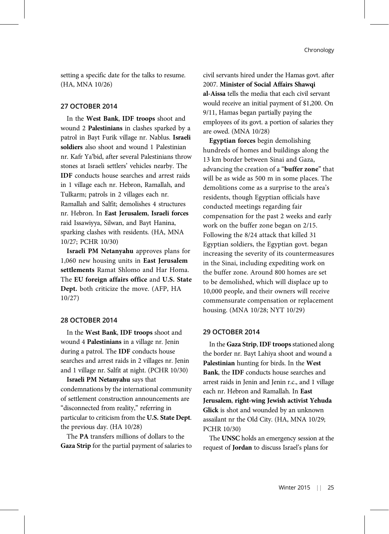setting a specific date for the talks to resume. (HA, MNA 10/26)

## 27 OCTOBER 2014

In the West Bank, IDF troops shoot and wound 2 Palestinians in clashes sparked by a patrol in Bayt Furik village nr. Nablus. Israeli soldiers also shoot and wound 1 Palestinian nr. Kafr Ya'bid, after several Palestinians throw stones at Israeli settlers' vehicles nearby. The IDF conducts house searches and arrest raids in 1 village each nr. Hebron, Ramallah, and Tulkarm; patrols in 2 villages each nr. Ramallah and Salfit; demolishes 4 structures nr. Hebron. In East Jerusalem, Israeli forces raid Issawiyya, Silwan, and Bayt Hanina, sparking clashes with residents. (HA, MNA 10/27; PCHR 10/30)

Israeli PM Netanyahu approves plans for 1,060 new housing units in East Jerusalem settlements Ramat Shlomo and Har Homa. The EU foreign affairs office and U.S. State Dept. both criticize the move. (AFP, HA 10/27)

## 28 OCTOBER 2014

In the West Bank, IDF troops shoot and wound 4 Palestinians in a village nr. Jenin during a patrol. The IDF conducts house searches and arrest raids in 2 villages nr. Jenin and 1 village nr. Salfit at night. (PCHR 10/30)

Israeli PM Netanyahu says that condemnations by the international community of settlement construction announcements are "disconnected from reality," referring in particular to criticism from the U.S. State Dept. the previous day. (HA 10/28)

The PA transfers millions of dollars to the Gaza Strip for the partial payment of salaries to civil servants hired under the Hamas govt. after 2007. Minister of Social Affairs Shawqi al-Aissa tells the media that each civil servant would receive an initial payment of \$1,200. On 9/11, Hamas began partially paying the employees of its govt. a portion of salaries they are owed. (MNA 10/28)

Egyptian forces begin demolishing hundreds of homes and buildings along the 13 km border between Sinai and Gaza, advancing the creation of a "**buffer zone**" that will be as wide as 500 m in some places. The demolitions come as a surprise to the area's residents, though Egyptian officials have conducted meetings regarding fair compensation for the past 2 weeks and early work on the buffer zone began on 2/15. Following the 8/24 attack that killed 31 Egyptian soldiers, the Egyptian govt. began increasing the severity of its countermeasures in the Sinai, including expediting work on the buffer zone. Around 800 homes are set to be demolished, which will displace up to 10,000 people, and their owners will receive commensurate compensation or replacement housing. (MNA 10/28; NYT 10/29)

## 29 OCTOBER 2014

In the Gaza Strip, IDF troops stationed along the border nr. Bayt Lahiya shoot and wound a Palestinian hunting for birds. In the West Bank, the IDF conducts house searches and arrest raids in Jenin and Jenin r.c., and 1 village each nr. Hebron and Ramallah. In East Jerusalem, right-wing Jewish activist Yehuda Glick is shot and wounded by an unknown assailant nr the Old City. (HA, MNA 10/29; PCHR 10/30)

The UNSC holds an emergency session at the request of Jordan to discuss Israel's plans for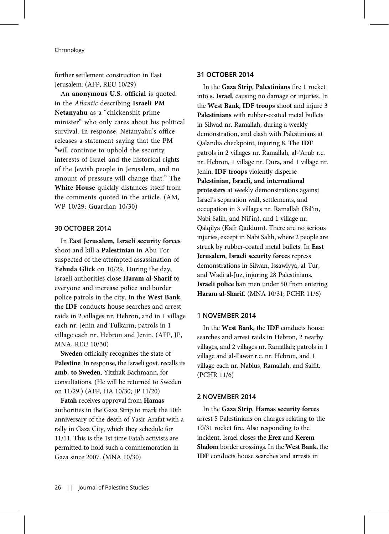further settlement construction in East Jerusalem. (AFP, REU 10/29)

An anonymous U.S. official is quoted in the Atlantic describing Israeli PM Netanyahu as a "chickenshit prime minister" who only cares about his political survival. In response, Netanyahu's office releases a statement saying that the PM "will continue to uphold the security interests of Israel and the historical rights of the Jewish people in Jerusalem, and no amount of pressure will change that." The White House quickly distances itself from the comments quoted in the article. (AM, WP 10/29; Guardian 10/30)

#### 30 OCTOBER 2014

In East Jerusalem, Israeli security forces shoot and kill a Palestinian in Abu Tor suspected of the attempted assassination of Yehuda Glick on 10/29. During the day, Israeli authorities close Haram al-Sharif to everyone and increase police and border police patrols in the city. In the West Bank, the IDF conducts house searches and arrest raids in 2 villages nr. Hebron, and in 1 village each nr. Jenin and Tulkarm; patrols in 1 village each nr. Hebron and Jenin. (AFP, JP, MNA, REU 10/30)

Sweden officially recognizes the state of Palestine. In response, the Israeli govt. recalls its amb. to Sweden, Yitzhak Bachmann, for consultations. (He will be returned to Sweden on 11/29.) (AFP, HA 10/30; JP 11/20)

Fatah receives approval from Hamas authorities in the Gaza Strip to mark the 10th anniversary of the death of Yasir Arafat with a rally in Gaza City, which they schedule for 11/11. This is the 1st time Fatah activists are permitted to hold such a commemoration in Gaza since 2007. (MNA 10/30)

## 31 OCTOBER 2014

In the Gaza Strip, Palestinians fire 1 rocket into s. Israel, causing no damage or injuries. In the West Bank, IDF troops shoot and injure 3 Palestinians with rubber-coated metal bullets in Silwad nr. Ramallah, during a weekly demonstration, and clash with Palestinians at Qalandia checkpoint, injuring 8. The IDF patrols in 2 villages nr. Ramallah, al-'Arub r.c. nr. Hebron, 1 village nr. Dura, and 1 village nr. Jenin. IDF troops violently disperse Palestinian, Israeli, and international protesters at weekly demonstrations against Israel's separation wall, settlements, and occupation in 3 villages nr. Ramallah (Bil'in, Nabi Salih, and Nil'in), and 1 village nr. Qalqilya (Kafr Qaddum). There are no serious injuries, except in Nabi Salih, where 2 people are struck by rubber-coated metal bullets. In East Jerusalem, Israeli security forces repress demonstrations in Silwan, Issawiyya, al-Tur, and Wadi al-Juz, injuring 28 Palestinians. Israeli police ban men under 50 from entering Haram al-Sharif. (MNA 10/31; PCHR 11/6)

#### 1 NOVEMBER 2014

In the West Bank, the IDF conducts house searches and arrest raids in Hebron, 2 nearby villages, and 2 villages nr. Ramallah; patrols in 1 village and al-Fawar r.c. nr. Hebron, and 1 village each nr. Nablus, Ramallah, and Salfit. (PCHR 11/6)

#### 2 NOVEMBER 2014

In the Gaza Strip, Hamas security forces arrest 5 Palestinians on charges relating to the 10/31 rocket fire. Also responding to the incident, Israel closes the Erez and Kerem Shalom border crossings. In the West Bank, the IDF conducts house searches and arrests in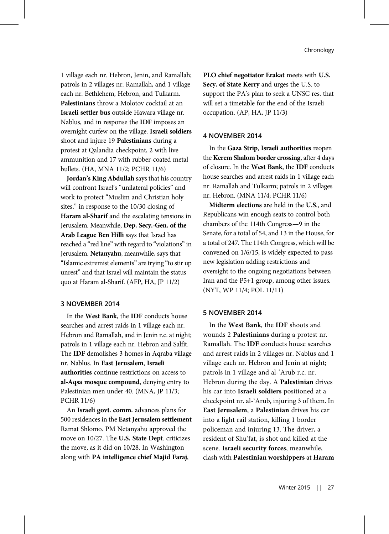1 village each nr. Hebron, Jenin, and Ramallah; patrols in 2 villages nr. Ramallah, and 1 village each nr. Bethlehem, Hebron, and Tulkarm. Palestinians throw a Molotov cocktail at an Israeli settler bus outside Hawara village nr. Nablus, and in response the IDF imposes an overnight curfew on the village. Israeli soldiers shoot and injure 19 Palestinians during a protest at Qalandia checkpoint, 2 with live ammunition and 17 with rubber-coated metal bullets. (HA, MNA 11/2; PCHR 11/6)

Jordan's King Abdullah says that his country will confront Israel's "unilateral policies" and work to protect "Muslim and Christian holy sites," in response to the 10/30 closing of Haram al-Sharif and the escalating tensions in Jerusalem. Meanwhile, Dep. Secy.-Gen. of the Arab League Ben Hilli says that Israel has reached a "red line" with regard to "violations"in Jerusalem. Netanyahu, meanwhile, says that "Islamic extremist elements" are trying "to stir up unrest" and that Israel will maintain the status quo at Haram al-Sharif. (AFP, HA, JP 11/2)

## 3 NOVEMBER 2014

In the West Bank, the IDF conducts house searches and arrest raids in 1 village each nr. Hebron and Ramallah, and in Jenin r.c. at night; patrols in 1 village each nr. Hebron and Salfit. The IDF demolishes 3 homes in Aqraba village nr. Nablus. In East Jerusalem, Israeli authorities continue restrictions on access to al-Aqsa mosque compound, denying entry to Palestinian men under 40. (MNA, JP 11/3; PCHR 11/6)

An Israeli govt. comm. advances plans for 500 residences in the East Jerusalem settlement Ramat Shlomo. PM Netanyahu approved the move on 10/27. The U.S. State Dept. criticizes the move, as it did on 10/28. In Washington along with PA intelligence chief Majid Faraj,

PLO chief negotiator Erakat meets with U.S. Secy. of State Kerry and urges the U.S. to support the PA's plan to seek a UNSC res. that will set a timetable for the end of the Israeli occupation. (AP, HA, JP 11/3)

#### 4 NOVEMBER 2014

In the Gaza Strip, Israeli authorities reopen the Kerem Shalom border crossing, after 4 days of closure. In the West Bank, the IDF conducts house searches and arrest raids in 1 village each nr. Ramallah and Tulkarm; patrols in 2 villages nr. Hebron. (MNA 11/4; PCHR 11/6)

Midterm elections are held in the U.S., and Republicans win enough seats to control both chambers of the 114th Congress—9 in the Senate, for a total of 54, and 13 in the House, for a total of 247. The 114th Congress, which will be convened on 1/6/15, is widely expected to pass new legislation adding restrictions and oversight to the ongoing negotiations between Iran and the P5+1 group, among other issues. (NYT, WP 11/4; POL 11/11)

## 5 NOVEMBER 2014

In the West Bank, the IDF shoots and wounds 2 Palestinians during a protest nr. Ramallah. The IDF conducts house searches and arrest raids in 2 villages nr. Nablus and 1 village each nr. Hebron and Jenin at night; patrols in 1 village and al-'Arub r.c. nr. Hebron during the day. A Palestinian drives his car into Israeli soldiers positioned at a checkpoint nr. al-'Arub, injuring 3 of them. In East Jerusalem, a Palestinian drives his car into a light rail station, killing 1 border policeman and injuring 13. The driver, a resident of Shu'fat, is shot and killed at the scene. Israeli security forces, meanwhile, clash with Palestinian worshippers at Haram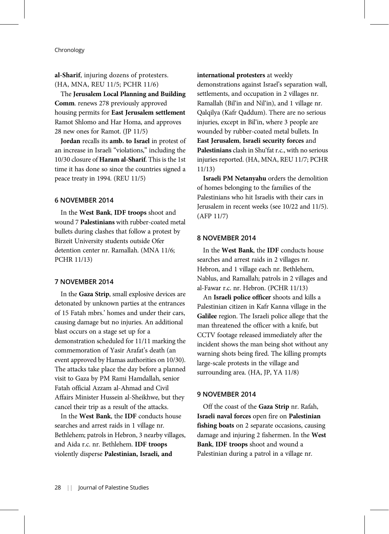# al-Sharif, injuring dozens of protesters. (HA, MNA, REU 11/5; PCHR 11/6)

The Jerusalem Local Planning and Building Comm. renews 278 previously approved housing permits for East Jerusalem settlement Ramot Shlomo and Har Homa, and approves 28 new ones for Ramot. (JP 11/5)

Jordan recalls its amb. to Israel in protest of an increase in Israeli "violations," including the 10/30 closure of Haram al-Sharif. This is the 1st time it has done so since the countries signed a peace treaty in 1994. (REU 11/5)

## 6 NOVEMBER 2014

In the West Bank, IDF troops shoot and wound 7 Palestinians with rubber-coated metal bullets during clashes that follow a protest by Birzeit University students outside Ofer detention center nr. Ramallah. (MNA 11/6; PCHR 11/13)

## 7 NOVEMBER 2014

In the Gaza Strip, small explosive devices are detonated by unknown parties at the entrances of 15 Fatah mbrs.' homes and under their cars, causing damage but no injuries. An additional blast occurs on a stage set up for a demonstration scheduled for 11/11 marking the commemoration of Yasir Arafat's death (an event approved by Hamas authorities on 10/30). The attacks take place the day before a planned visit to Gaza by PM Rami Hamdallah, senior Fatah official Azzam al-Ahmad and Civil Affairs Minister Hussein al-Sheikhwe, but they cancel their trip as a result of the attacks.

In the West Bank, the IDF conducts house searches and arrest raids in 1 village nr. Bethlehem; patrols in Hebron, 3 nearby villages, and Aida r.c. nr. Bethlehem. IDF troops violently disperse Palestinian, Israeli, and

#### international protesters at weekly

demonstrations against Israel's separation wall, settlements, and occupation in 2 villages nr. Ramallah (Bil'in and Nil'in), and 1 village nr. Qalqilya (Kafr Qaddum). There are no serious injuries, except in Bil'in, where 3 people are wounded by rubber-coated metal bullets. In East Jerusalem, Israeli security forces and Palestinians clash in Shu'fat r.c., with no serious injuries reported. (HA, MNA, REU 11/7; PCHR 11/13)

Israeli PM Netanyahu orders the demolition of homes belonging to the families of the Palestinians who hit Israelis with their cars in Jerusalem in recent weeks (see 10/22 and 11/5). (AFP 11/7)

## 8 NOVEMBER 2014

In the West Bank, the IDF conducts house searches and arrest raids in 2 villages nr. Hebron, and 1 village each nr. Bethlehem, Nablus, and Ramallah; patrols in 2 villages and al-Fawar r.c. nr. Hebron. (PCHR 11/13)

An Israeli police officer shoots and kills a Palestinian citizen in Kafr Kanna village in the Galilee region. The Israeli police allege that the man threatened the officer with a knife, but CCTV footage released immediately after the incident shows the man being shot without any warning shots being fired. The killing prompts large-scale protests in the village and surrounding area. (HA, JP, YA 11/8)

#### 9 NOVEMBER 2014

Off the coast of the Gaza Strip nr. Rafah, Israeli naval forces open fire on Palestinian fishing boats on 2 separate occasions, causing damage and injuring 2 fishermen. In the West Bank, IDF troops shoot and wound a Palestinian during a patrol in a village nr.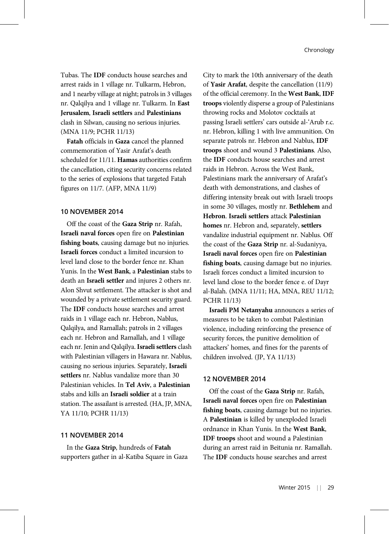Tubas. The IDF conducts house searches and arrest raids in 1 village nr. Tulkarm, Hebron, and 1 nearby village at night; patrols in 3 villages nr. Qalqilya and 1 village nr. Tulkarm. In East Jerusalem, Israeli settlers and Palestinians clash in Silwan, causing no serious injuries. (MNA 11/9; PCHR 11/13)

Fatah officials in Gaza cancel the planned commemoration of Yasir Arafat's death scheduled for 11/11. Hamas authorities confirm the cancellation, citing security concerns related to the series of explosions that targeted Fatah figures on 11/7. (AFP, MNA 11/9)

#### 10 NOVEMBER 2014

Off the coast of the Gaza Strip nr. Rafah, Israeli naval forces open fire on Palestinian fishing boats, causing damage but no injuries. Israeli forces conduct a limited incursion to level land close to the border fence nr. Khan Yunis. In the West Bank, a Palestinian stabs to death an Israeli settler and injures 2 others nr. Alon Shvut settlement. The attacker is shot and wounded by a private settlement security guard. The IDF conducts house searches and arrest raids in 1 village each nr. Hebron, Nablus, Qalqilya, and Ramallah; patrols in 2 villages each nr. Hebron and Ramallah, and 1 village each nr. Jenin and Qalqilya. Israeli settlers clash with Palestinian villagers in Hawara nr. Nablus, causing no serious injuries. Separately, Israeli settlers nr. Nablus vandalize more than 30 Palestinian vehicles. In Tel Aviv, a Palestinian stabs and kills an Israeli soldier at a train station. The assailant is arrested. (HA, JP, MNA, YA 11/10; PCHR 11/13)

## 11 NOVEMBER 2014

In the Gaza Strip, hundreds of Fatah supporters gather in al-Katiba Square in Gaza

City to mark the 10th anniversary of the death of Yasir Arafat, despite the cancellation (11/9) of the official ceremony. In the West Bank, IDF troops violently disperse a group of Palestinians throwing rocks and Molotov cocktails at passing Israeli settlers' cars outside al-'Arub r.c. nr. Hebron, killing 1 with live ammunition. On separate patrols nr. Hebron and Nablus, IDF troops shoot and wound 3 Palestinians. Also, the IDF conducts house searches and arrest raids in Hebron. Across the West Bank, Palestinians mark the anniversary of Arafat's death with demonstrations, and clashes of differing intensity break out with Israeli troops in some 30 villages, mostly nr. Bethlehem and Hebron. Israeli settlers attack Palestinian homes nr. Hebron and, separately, settlers vandalize industrial equipment nr. Nablus. Off the coast of the Gaza Strip nr. al-Sudaniyya, Israeli naval forces open fire on Palestinian fishing boats, causing damage but no injuries. Israeli forces conduct a limited incursion to level land close to the border fence e. of Dayr al-Balah. (MNA 11/11; HA, MNA, REU 11/12; PCHR 11/13)

Israeli PM Netanyahu announces a series of measures to be taken to combat Palestinian violence, including reinforcing the presence of security forces, the punitive demolition of attackers' homes, and fines for the parents of children involved. (JP, YA 11/13)

#### 12 NOVEMBER 2014

Off the coast of the Gaza Strip nr. Rafah, Israeli naval forces open fire on Palestinian fishing boats, causing damage but no injuries. A Palestinian is killed by unexploded Israeli ordnance in Khan Yunis. In the West Bank, IDF troops shoot and wound a Palestinian during an arrest raid in Beitunia nr. Ramallah. The IDF conducts house searches and arrest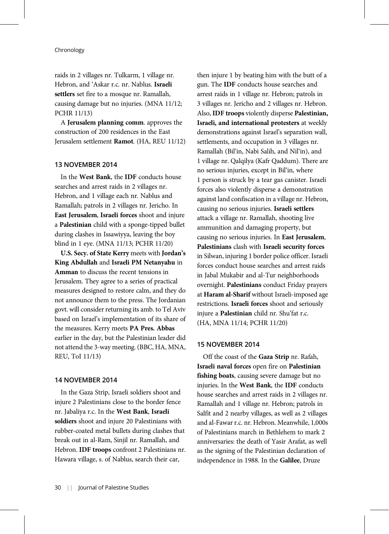raids in 2 villages nr. Tulkarm, 1 village nr. Hebron, and 'Askar r.c. nr. Nablus. Israeli settlers set fire to a mosque nr. Ramallah, causing damage but no injuries. (MNA 11/12; PCHR 11/13)

A Jerusalem planning comm. approves the construction of 200 residences in the East Jerusalem settlement Ramot. (HA, REU 11/12)

### 13 NOVEMBER 2014

In the West Bank, the IDF conducts house searches and arrest raids in 2 villages nr. Hebron, and 1 village each nr. Nablus and Ramallah; patrols in 2 villages nr. Jericho. In East Jerusalem, Israeli forces shoot and injure a Palestinian child with a sponge-tipped bullet during clashes in Issawiyya, leaving the boy blind in 1 eye. (MNA 11/13; PCHR 11/20)

U.S. Secy. of State Kerry meets with Jordan's King Abdullah and Israeli PM Netanyahu in Amman to discuss the recent tensions in Jerusalem. They agree to a series of practical measures designed to restore calm, and they do not announce them to the press. The Jordanian govt. will consider returning its amb. to Tel Aviv based on Israel's implementation of its share of the measures. Kerry meets PA Pres. Abbas earlier in the day, but the Palestinian leader did not attend the 3-way meeting. (BBC, HA, MNA, REU, ToI 11/13)

## 14 NOVEMBER 2014

In the Gaza Strip, Israeli soldiers shoot and injure 2 Palestinians close to the border fence nr. Jabaliya r.c. In the West Bank, Israeli soldiers shoot and injure 20 Palestinians with rubber-coated metal bullets during clashes that break out in al-Ram, Sinjil nr. Ramallah, and Hebron. IDF troops confront 2 Palestinians nr. Hawara village, s. of Nablus, search their car,

then injure 1 by beating him with the butt of a gun. The IDF conducts house searches and arrest raids in 1 village nr. Hebron; patrols in 3 villages nr. Jericho and 2 villages nr. Hebron. Also, IDF troops violently disperse Palestinian, Israeli, and international protesters at weekly demonstrations against Israel's separation wall, settlements, and occupation in 3 villages nr. Ramallah (Bil'in, Nabi Salih, and Nil'in), and 1 village nr. Qalqilya (Kafr Qaddum). There are no serious injuries, except in Bil'in, where 1 person is struck by a tear gas canister. Israeli forces also violently disperse a demonstration against land confiscation in a village nr. Hebron, causing no serious injuries. Israeli settlers attack a village nr. Ramallah, shooting live ammunition and damaging property, but causing no serious injuries. In East Jerusalem, Palestinians clash with Israeli security forces in Silwan, injuring 1 border police officer. Israeli forces conduct house searches and arrest raids in Jabal Mukabir and al-Tur neighborhoods overnight. Palestinians conduct Friday prayers at Haram al-Sharif without Israeli-imposed age restrictions. Israeli forces shoot and seriously injure a Palestinian child nr. Shu'fat r.c. (HA, MNA 11/14; PCHR 11/20)

## 15 NOVEMBER 2014

Off the coast of the Gaza Strip nr. Rafah, Israeli naval forces open fire on Palestinian fishing boats, causing severe damage but no injuries. In the West Bank, the IDF conducts house searches and arrest raids in 2 villages nr. Ramallah and 1 village nr. Hebron; patrols in Salfit and 2 nearby villages, as well as 2 villages and al-Fawar r.c. nr. Hebron. Meanwhile, 1,000s of Palestinians march in Bethlehem to mark 2 anniversaries: the death of Yasir Arafat, as well as the signing of the Palestinian declaration of independence in 1988. In the Galilee, Druze